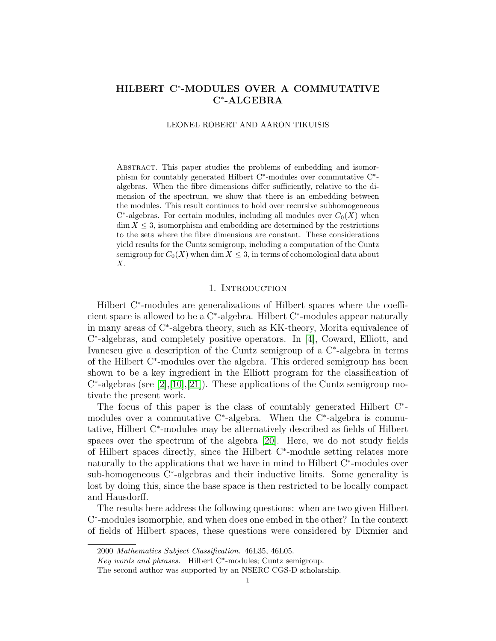# HILBERT C<sup>∗</sup> -MODULES OVER A COMMUTATIVE C<sup>∗</sup> -ALGEBRA

LEONEL ROBERT AND AARON TIKUISIS

Abstract. This paper studies the problems of embedding and isomorphism for countably generated Hilbert C<sup>\*</sup>-modules over commutative C<sup>\*</sup>algebras. When the fibre dimensions differ sufficiently, relative to the dimension of the spectrum, we show that there is an embedding between the modules. This result continues to hold over recursive subhomogeneous  $C^*$ -algebras. For certain modules, including all modules over  $C_0(X)$  when  $\dim X \leq 3$ , isomorphism and embedding are determined by the restrictions to the sets where the fibre dimensions are constant. These considerations yield results for the Cuntz semigroup, including a computation of the Cuntz semigroup for  $C_0(X)$  when dim  $X \leq 3$ , in terms of cohomological data about X.

### 1. INTRODUCTION

Hilbert C<sup>∗</sup> -modules are generalizations of Hilbert spaces where the coefficient space is allowed to be a C<sup>∗</sup> -algebra. Hilbert C<sup>∗</sup> -modules appear naturally in many areas of C<sup>∗</sup> -algebra theory, such as KK-theory, Morita equivalence of C ∗ -algebras, and completely positive operators. In [\[4\]](#page-31-0), Coward, Elliott, and Ivanescu give a description of the Cuntz semigroup of a C<sup>∗</sup> -algebra in terms of the Hilbert C<sup>∗</sup> -modules over the algebra. This ordered semigroup has been shown to be a key ingredient in the Elliott program for the classification of  $C^*$ -algebras (see [\[2\]](#page-31-1),[\[10\]](#page-31-2),[\[21\]](#page-32-0)). These applications of the Cuntz semigroup motivate the present work.

The focus of this paper is the class of countably generated Hilbert C<sup>∗</sup> modules over a commutative C<sup>∗</sup> -algebra. When the C<sup>∗</sup> -algebra is commutative, Hilbert C<sup>∗</sup> -modules may be alternatively described as fields of Hilbert spaces over the spectrum of the algebra [\[20\]](#page-32-1). Here, we do not study fields of Hilbert spaces directly, since the Hilbert C<sup>∗</sup> -module setting relates more naturally to the applications that we have in mind to Hilbert C<sup>∗</sup>-modules over sub-homogeneous C<sup>\*</sup>-algebras and their inductive limits. Some generality is lost by doing this, since the base space is then restricted to be locally compact and Hausdorff.

The results here address the following questions: when are two given Hilbert C ∗ -modules isomorphic, and when does one embed in the other? In the context of fields of Hilbert spaces, these questions were considered by Dixmier and

<sup>2000</sup> Mathematics Subject Classification. 46L35, 46L05.

Key words and phrases. Hilbert C<sup>∗</sup> -modules; Cuntz semigroup.

The second author was supported by an NSERC CGS-D scholarship.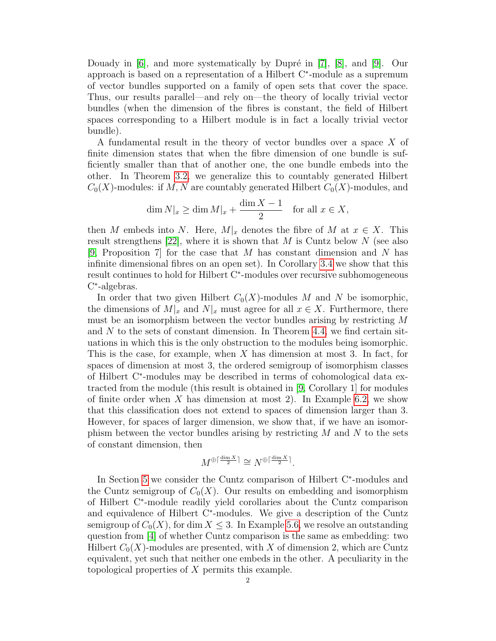Douady in  $[6]$ , and more systematically by Dupré in  $[7]$ ,  $[8]$ , and  $[9]$ . Our approach is based on a representation of a Hilbert C<sup>∗</sup> -module as a supremum of vector bundles supported on a family of open sets that cover the space. Thus, our results parallel—and rely on—the theory of locally trivial vector bundles (when the dimension of the fibres is constant, the field of Hilbert spaces corresponding to a Hilbert module is in fact a locally trivial vector bundle).

A fundamental result in the theory of vector bundles over a space X of finite dimension states that when the fibre dimension of one bundle is sufficiently smaller than that of another one, the one bundle embeds into the other. In Theorem [3.2,](#page-11-0) we generalize this to countably generated Hilbert  $C_0(X)$ -modules: if M, N are countably generated Hilbert  $C_0(X)$ -modules, and

$$
\dim N|_{x} \ge \dim M|_{x} + \frac{\dim X - 1}{2} \quad \text{for all } x \in X,
$$

then M embeds into N. Here,  $M|_x$  denotes the fibre of M at  $x \in X$ . This result strengthens [\[22\]](#page-32-2), where it is shown that M is Cuntz below N (see also [\[9,](#page-31-6) Proposition 7] for the case that M has constant dimension and N has infinite dimensional fibres on an open set). In Corollary [3.4](#page-13-0) we show that this result continues to hold for Hilbert C<sup>∗</sup> -modules over recursive subhomogeneous C ∗ -algebras.

In order that two given Hilbert  $C_0(X)$ -modules M and N be isomorphic, the dimensions of  $M|_x$  and  $N|_x$  must agree for all  $x \in X$ . Furthermore, there must be an isomorphism between the vector bundles arising by restricting M and  $N$  to the sets of constant dimension. In Theorem [4.4,](#page-16-0) we find certain situations in which this is the only obstruction to the modules being isomorphic. This is the case, for example, when  $X$  has dimension at most 3. In fact, for spaces of dimension at most 3, the ordered semigroup of isomorphism classes of Hilbert C<sup>∗</sup> -modules may be described in terms of cohomological data extracted from the module (this result is obtained in [\[9,](#page-31-6) Corollary 1] for modules of finite order when X has dimension at most 2). In Example [6.2,](#page-26-0) we show that this classification does not extend to spaces of dimension larger than 3. However, for spaces of larger dimension, we show that, if we have an isomorphism between the vector bundles arising by restricting  $M$  and  $N$  to the sets of constant dimension, then

$$
M^{\oplus \lceil \frac{\dim X}{2} \rceil} \cong N^{\oplus \lceil \frac{\dim X}{2} \rceil}.
$$

In Section [5](#page-22-0) we consider the Cuntz comparison of Hilbert C<sup>∗</sup> -modules and the Cuntz semigroup of  $C_0(X)$ . Our results on embedding and isomorphism of Hilbert C<sup>∗</sup> -module readily yield corollaries about the Cuntz comparison and equivalence of Hilbert C<sup>∗</sup> -modules. We give a description of the Cuntz semigroup of  $C_0(X)$ , for dim  $X \leq 3$ . In Example [5.6,](#page-23-0) we resolve an outstanding question from [\[4\]](#page-31-0) of whether Cuntz comparison is the same as embedding: two Hilbert  $C_0(X)$ -modules are presented, with X of dimension 2, which are Cuntz equivalent, yet such that neither one embeds in the other. A peculiarity in the topological properties of X permits this example.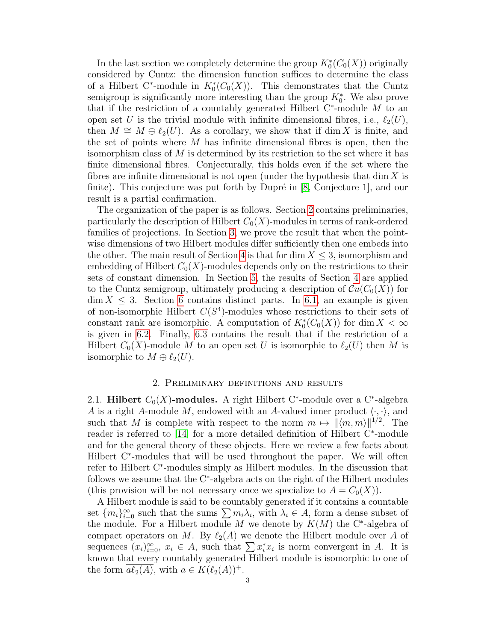In the last section we completely determine the group  $K_0^*(C_0(X))$  originally considered by Cuntz: the dimension function suffices to determine the class of a Hilbert C<sup>\*</sup>-module in  $K_0^*(C_0(X))$ . This demonstrates that the Cuntz semigroup is significantly more interesting than the group  $K_0^*$ . We also prove that if the restriction of a countably generated Hilbert  $C^*$ -module M to an open set U is the trivial module with infinite dimensional fibres, i.e.,  $\ell_2(U)$ , then  $M \cong M \oplus \ell_2(U)$ . As a corollary, we show that if dim X is finite, and the set of points where  $M$  has infinite dimensional fibres is open, then the isomorphism class of M is determined by its restriction to the set where it has finite dimensional fibres. Conjecturally, this holds even if the set where the fibres are infinite dimensional is not open (under the hypothesis that  $\dim X$  is finite). This conjecture was put forth by Dupré in  $[8, Conjecture 1]$  $[8, Conjecture 1]$ , and our result is a partial confirmation.

The organization of the paper is as follows. Section [2](#page-2-0) contains preliminaries, particularly the description of Hilbert  $C_0(X)$ -modules in terms of rank-ordered families of projections. In Section [3,](#page-10-0) we prove the result that when the pointwise dimensions of two Hilbert modules differ sufficiently then one embeds into the other. The main result of Section [4](#page-15-0) is that for dim  $X \leq 3$ , isomorphism and embedding of Hilbert  $C_0(X)$ -modules depends only on the restrictions to their sets of constant dimension. In Section [5,](#page-22-0) the results of Section [4](#page-15-0) are applied to the Cuntz semigroup, ultimately producing a description of  $\mathcal{C}u(C_0(X))$  for  $\dim X \leq 3$ . Section [6](#page-25-0) contains distinct parts. In [6.1,](#page-25-1) an example is given of non-isomorphic Hilbert  $C(S^4)$ -modules whose restrictions to their sets of constant rank are isomorphic. A computation of  $K_0^*(C_0(X))$  for  $\dim X < \infty$ is given in [6.2.](#page-27-0) Finally, [6.3](#page-29-0) contains the result that if the restriction of a Hilbert  $C_0(X)$ -module M to an open set U is isomorphic to  $\ell_2(U)$  then M is isomorphic to  $M \oplus \ell_2(U)$ .

### 2. Preliminary definitions and results

<span id="page-2-0"></span>2.1. Hilbert  $C_0(X)$ -modules. A right Hilbert C<sup>\*</sup>-module over a C<sup>\*</sup>-algebra A is a right A-module M, endowed with an A-valued inner product  $\langle \cdot, \cdot \rangle$ , and such that M is complete with respect to the norm  $m \mapsto ||\langle m, m\rangle||^{1/2}$ . The reader is referred to [\[14\]](#page-32-3) for a more detailed definition of Hilbert C<sup>∗</sup>-module and for the general theory of these objects. Here we review a few facts about Hilbert C<sup>∗</sup> -modules that will be used throughout the paper. We will often refer to Hilbert C<sup>∗</sup> -modules simply as Hilbert modules. In the discussion that follows we assume that the C<sup>∗</sup> -algebra acts on the right of the Hilbert modules (this provision will be not necessary once we specialize to  $A = C_0(X)$ ).

A Hilbert module is said to be countably generated if it contains a countable set  $\{m_i\}_{i=0}^{\infty}$  such that the sums  $\sum m_i\lambda_i$ , with  $\lambda_i \in A$ , form a dense subset of the module. For a Hilbert module M we denote by  $K(M)$  the C<sup>\*</sup>-algebra of compact operators on M. By  $\ell_2(A)$  we denote the Hilbert module over A of sequences  $(x_i)_{i=0}^{\infty}$ ,  $x_i \in A$ , such that  $\sum x_i^* x_i$  is norm convergent in A. It is known that every countably generated Hilbert module is isomorphic to one of the form  $\overline{a\ell_2(A)}$ , with  $a \in K(\ell_2(A))^+$ .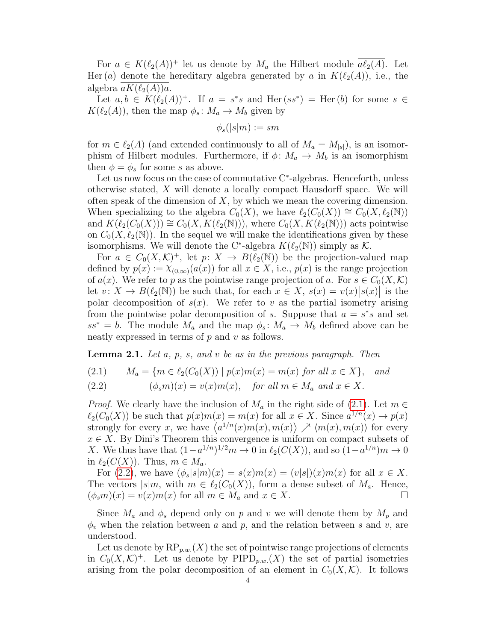For  $a \in K(\ell_2(A))^+$  let us denote by  $M_a$  the Hilbert module  $a\ell_2(A)$ . Let Her (a) denote the hereditary algebra generated by a in  $K(\ell_2(A))$ , i.e., the algebra  $aK(\ell_2(A))a$ .

Let  $a, b \in K(\ell_2(A))^+$ . If  $a = s^*s$  and Her $(ss^*) =$  Her $(b)$  for some  $s \in$  $K(\ell_2(A))$ , then the map  $\phi_s : M_a \to M_b$  given by

$$
\phi_s(|s|m):=sm
$$

for  $m \in \ell_2(A)$  (and extended continuously to all of  $M_a = M_{|s|}$ ), is an isomorphism of Hilbert modules. Furthermore, if  $\phi \colon M_a \to M_b$  is an isomorphism then  $\phi = \phi_s$  for some s as above.

Let us now focus on the case of commutative C<sup>∗</sup> -algebras. Henceforth, unless otherwise stated, X will denote a locally compact Hausdorff space. We will often speak of the dimension of  $X$ , by which we mean the covering dimension. When specializing to the algebra  $C_0(X)$ , we have  $\ell_2(C_0(X)) \cong C_0(X, \ell_2(N))$ and  $K(\ell_2(C_0(X))) \cong C_0(X, K(\ell_2(N))),$  where  $C_0(X, K(\ell_2(N)))$  acts pointwise on  $C_0(X, \ell_2(N))$ . In the sequel we will make the identifications given by these isomorphisms. We will denote the C<sup>\*</sup>-algebra  $K(\ell_2(\mathbb{N}))$  simply as K.

For  $a \in C_0(X,\mathcal{K})^+$ , let  $p: X \to B(\ell_2(\mathbb{N}))$  be the projection-valued map defined by  $p(x) := \chi_{(0,\infty)}(a(x))$  for all  $x \in X$ , i.e.,  $p(x)$  is the range projection of  $a(x)$ . We refer to p as the pointwise range projection of a. For  $s \in C_0(X,\mathcal{K})$ let  $v: X \to B(\ell_2(\mathbb{N}))$  be such that, for each  $x \in X$ ,  $s(x) = v(x)|s(x)|$  is the polar decomposition of  $s(x)$ . We refer to v as the partial isometry arising from the pointwise polar decomposition of s. Suppose that  $a = s^*s$  and set  $ss^* = b$ . The module  $M_a$  and the map  $\phi_s : M_a \to M_b$  defined above can be neatly expressed in terms of  $p$  and  $v$  as follows.

**Lemma 2.1.** Let  $a, p, s, and v$  be as in the previous paragraph. Then

<span id="page-3-1"></span><span id="page-3-0"></span>(2.1) 
$$
M_a = \{ m \in \ell_2(C_0(X)) \mid p(x)m(x) = m(x) \text{ for all } x \in X \}, \text{ and}
$$

(2.2) 
$$
(\phi_s m)(x) = v(x)m(x), \text{ for all } m \in M_a \text{ and } x \in X.
$$

*Proof.* We clearly have the inclusion of  $M_a$  in the right side of [\(2.1\)](#page-3-0). Let  $m \in$  $\ell_2(C_0(X))$  be such that  $p(x)m(x) = m(x)$  for all  $x \in X$ . Since  $a^{1/n}(x) \to p(x)$ strongly for every x, we have  $\langle a^{1/n}(x)m(x),m(x) \rangle \nearrow \langle m(x),m(x) \rangle$  for every  $x \in X$ . By Dini's Theorem this convergence is uniform on compact subsets of X. We thus have that  $(1-a^{1/n})^{1/2}m \to 0$  in  $\ell_2(C(X))$ , and so  $(1-a^{1/n})m \to 0$ in  $\ell_2(C(X))$ . Thus,  $m \in M_a$ .

For [\(2.2\)](#page-3-1), we have  $(\phi_s|s|m)(x) = s(x)m(x) = (v|s|)(x)m(x)$  for all  $x \in X$ . The vectors  $|s|m$ , with  $m \in \ell_2(C_0(X))$ , form a dense subset of  $M_a$ . Hence,  $(\phi_s m)(x) = v(x)m(x)$  for all  $m \in M_a$  and  $x \in X$ .

Since  $M_a$  and  $\phi_s$  depend only on p and v we will denote them by  $M_p$  and  $\phi_v$  when the relation between a and p, and the relation between s and v, are understood.

Let us denote by  $RP_{p,w}(X)$  the set of pointwise range projections of elements in  $C_0(X,\mathcal{K})^+$ . Let us denote by PIPD<sub>p.w.</sub> $(X)$  the set of partial isometries arising from the polar decomposition of an element in  $C_0(X,\mathcal{K})$ . It follows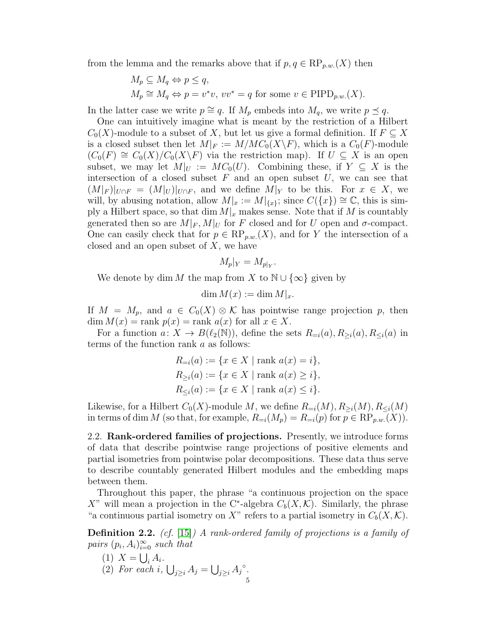from the lemma and the remarks above that if  $p, q \in \text{RP}_{p,w}(X)$  then

$$
M_p \subseteq M_q \Leftrightarrow p \le q,
$$
  
\n
$$
M_p \cong M_q \Leftrightarrow p = v^*v, \ vv^* = q \text{ for some } v \in \text{PID}_{p.w.}(X).
$$

In the latter case we write  $p \cong q$ . If  $M_p$  embeds into  $M_q$ , we write  $p \preceq q$ .

One can intuitively imagine what is meant by the restriction of a Hilbert  $C_0(X)$ -module to a subset of X, but let us give a formal definition. If  $F \subseteq X$ is a closed subset then let  $M|_F := M/MC_0(X\backslash F)$ , which is a  $C_0(F)$ -module  $(C_0(F) \cong C_0(X)/C_0(X\backslash F)$  via the restriction map). If  $U \subseteq X$  is an open subset, we may let  $M|_U := MC_0(U)$ . Combining these, if  $Y \subseteq X$  is the intersection of a closed subset  $F$  and an open subset  $U$ , we can see that  $(M|_F)|_{U\cap F} = (M|_U)|_{U\cap F}$ , and we define  $M|_Y$  to be this. For  $x \in X$ , we will, by abusing notation, allow  $M|_x := M|_{\{x\}}$ ; since  $C({x}) \cong \mathbb{C}$ , this is simply a Hilbert space, so that  $\dim M|_x$  makes sense. Note that if M is countably generated then so are  $M|_F$ ,  $M|_U$  for F closed and for U open and  $\sigma$ -compact. One can easily check that for  $p \in \text{RP}_{p.w.}(X)$ , and for Y the intersection of a closed and an open subset of  $X$ , we have

$$
M_p|_Y = M_{p|_Y}.
$$

We denote by dim M the map from X to  $\mathbb{N} \cup \{\infty\}$  given by

$$
\dim M(x) := \dim M|_x.
$$

If  $M = M_p$ , and  $a \in C_0(X) \otimes \mathcal{K}$  has pointwise range projection p, then dim  $M(x) = \text{rank } p(x) = \text{rank } a(x)$  for all  $x \in X$ .

For a function  $a: X \to B(\ell_2(\mathbb{N}))$ , define the sets  $R_{=i}(a), R_{\geq i}(a), R_{\leq i}(a)$  in terms of the function rank a as follows:

$$
R_{=i}(a) := \{x \in X \mid \text{rank } a(x) = i\},\
$$
  
\n
$$
R_{\geq i}(a) := \{x \in X \mid \text{rank } a(x) \geq i\},\
$$
  
\n
$$
R_{\leq i}(a) := \{x \in X \mid \text{rank } a(x) \leq i\}.
$$

Likewise, for a Hilbert  $C_0(X)$ -module M, we define  $R_{=i}(M), R_{\geq i}(M), R_{\leq i}(M)$ in terms of dim M (so that, for example,  $R_{=i}(M_p) = R_{=i}(p)$  for  $p \in \text{RP}_{p,w}(X)$ ).

2.2. Rank-ordered families of projections. Presently, we introduce forms of data that describe pointwise range projections of positive elements and partial isometries from pointwise polar decompositions. These data thus serve to describe countably generated Hilbert modules and the embedding maps between them.

Throughout this paper, the phrase "a continuous projection on the space X" will mean a projection in the C<sup>\*</sup>-algebra  $C_b(X, \mathcal{K})$ . Similarly, the phrase "a continuous partial isometry on X" refers to a partial isometry in  $C_b(X, \mathcal{K})$ .

<span id="page-4-0"></span>**Definition 2.2.** (cf. [\[15\]](#page-32-4)) A rank-ordered family of projections is a family of pairs  $(p_i, A_i)_{i=0}^{\infty}$  such that

(1)  $X = \bigcup_i A_i$ . (2) For each i,  $\bigcup_{j\geq i} A_j = \bigcup_{j\geq i} A_j^{\circ}$ . 5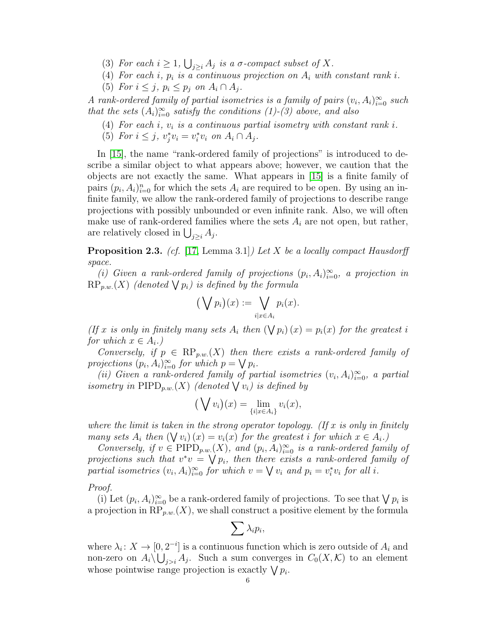- (3) For each  $i \geq 1$ ,  $\bigcup_{j \geq i} A_j$  is a  $\sigma$ -compact subset of X.
- (4) For each i,  $p_i$  is a continuous projection on  $A_i$  with constant rank i.
- <span id="page-5-2"></span>(5) For  $i \leq j$ ,  $p_i \leq p_j$  on  $A_i \cap A_j$ .

A rank-ordered family of partial isometries is a family of pairs  $(v_i, A_i)_{i=0}^{\infty}$  such that the sets  $(A_i)_{i=0}^{\infty}$  satisfy the conditions  $(1)-(3)$  above, and also

- (4) For each i,  $v_i$  is a continuous partial isometry with constant rank i.
- <span id="page-5-1"></span>(5) For  $i \leq j$ ,  $v_j^* v_i = v_i^* v_i$  on  $A_i \cap A_j$ .

In [\[15\]](#page-32-4), the name "rank-ordered family of projections" is introduced to describe a similar object to what appears above; however, we caution that the objects are not exactly the same. What appears in [\[15\]](#page-32-4) is a finite family of pairs  $(p_i, A_i)_{i=0}^n$  for which the sets  $A_i$  are required to be open. By using an infinite family, we allow the rank-ordered family of projections to describe range projections with possibly unbounded or even infinite rank. Also, we will often make use of rank-ordered families where the sets  $A_i$  are not open, but rather, are relatively closed in  $\bigcup_{j\geq i} A_j$ .

<span id="page-5-0"></span>**Proposition 2.3.** (cf. [\[17,](#page-32-5) Lemma 3.1]) Let X be a locally compact Hausdorff space.

(i) Given a rank-ordered family of projections  $(p_i, A_i)_{i=0}^{\infty}$ , a projection in  $\text{RP}_{p.w.}(X)$  (denoted  $\bigvee p_i$ ) is defined by the formula

$$
(\bigvee p_i)(x) := \bigvee_{i \mid x \in A_i} p_i(x).
$$

(If x is only in finitely many sets  $A_i$  then  $(\bigvee p_i)(x) = p_i(x)$  for the greatest i for which  $x \in A_i$ .)

Conversely, if  $p \in \text{RP}_{p,w}(X)$  then there exists a rank-ordered family of projections  $(p_i, A_i)_{i=0}^{\infty}$  for which  $p = \bigvee p_i$ .

(ii) Given a rank-ordered family of partial isometries  $(v_i, A_i)_{i=0}^{\infty}$ , a partial isometry in  $\text{PIPD}_{p.w.}(X)$  (denoted  $\bigvee v_i$ ) is defined by

$$
(\bigvee v_i)(x) = \lim_{\{i|x \in A_i\}} v_i(x),
$$

where the limit is taken in the strong operator topology. (If x is only in finitely many sets  $A_i$  then  $(\bigvee v_i)(x) = v_i(x)$  for the greatest i for which  $x \in A_i$ .

Conversely, if  $v \in \text{PIPD}_{p.w.}(X)$ , and  $(p_i, A_i)_{i=0}^{\infty}$  is a rank-ordered family of projections such that  $v^*v = \bigvee p_i$ , then there exists a rank-ordered family of partial isometries  $(v_i, A_i)_{i=0}^{\infty}$  for which  $v = \bigvee v_i$  and  $p_i = v_i^* v_i$  for all i.

Proof.

(i) Let  $(p_i, A_i)_{i=0}^{\infty}$  be a rank-ordered family of projections. To see that  $\bigvee p_i$  is a projection in  $\mathbb{RP}_{p,w}(X)$ , we shall construct a positive element by the formula

$$
\sum \lambda_i p_i,
$$

where  $\lambda_i: X \to [0, 2^{-i}]$  is a continuous function which is zero outside of  $A_i$  and non-zero on  $A_i \backslash \bigcup_{j>i} A_j$ . Such a sum converges in  $C_0(X, \mathcal{K})$  to an element whose pointwise range projection is exactly  $\bigvee p_i$ .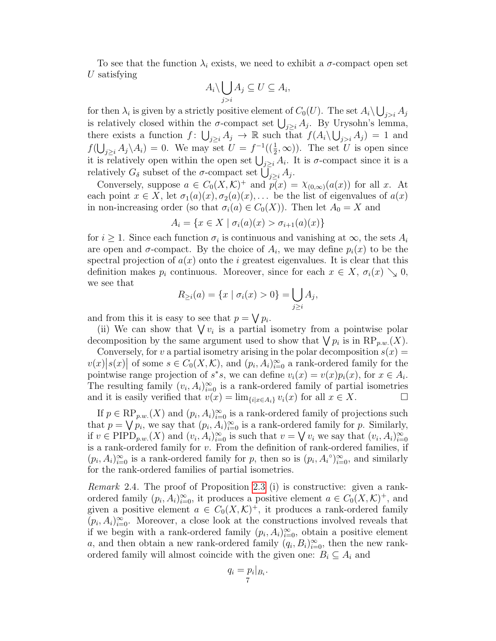To see that the function  $\lambda_i$  exists, we need to exhibit a  $\sigma$ -compact open set U satisfying

$$
A_i \setminus \bigcup_{j>i} A_j \subseteq U \subseteq A_i,
$$

for then  $\lambda_i$  is given by a strictly positive element of  $C_0(U)$ . The set  $A_i \backslash \bigcup_{j>i} A_j$ is relatively closed within the  $\sigma$ -compact set  $\bigcup_{j\geq i} A_j$ . By Urysohn's lemma, there exists a function  $f: \bigcup_{j\geq i} A_j \to \mathbb{R}$  such that  $f(A_i \setminus \bigcup_{j>i} A_j) = 1$  and  $f(\bigcup_{j\geq i}A_j\backslash A_i)=0$ . We may set  $U=f^{-1}(\left(\frac{1}{2},\infty\right))$ . The set U is open since it is relatively open within the open set  $\bigcup_{j\geq i} A_i$ . It is  $\sigma$ -compact since it is a relatively  $G_{\delta}$  subset of the  $\sigma$ -compact set  $\bigcup_{j\geq i} A_j$ .

Conversely, suppose  $a \in C_0(X,\mathcal{K})^+$  and  $p(x) = \chi_{(0,\infty)}(a(x))$  for all x. At each point  $x \in X$ , let  $\sigma_1(a)(x), \sigma_2(a)(x), \ldots$  be the list of eigenvalues of  $a(x)$ in non-increasing order (so that  $\sigma_i(a) \in C_0(X)$ ). Then let  $A_0 = X$  and

$$
A_i = \{ x \in X \mid \sigma_i(a)(x) > \sigma_{i+1}(a)(x) \}
$$

for  $i \geq 1$ . Since each function  $\sigma_i$  is continuous and vanishing at  $\infty$ , the sets  $A_i$ are open and  $\sigma$ -compact. By the choice of  $A_i$ , we may define  $p_i(x)$  to be the spectral projection of  $a(x)$  onto the i greatest eigenvalues. It is clear that this definition makes  $p_i$  continuous. Moreover, since for each  $x \in X$ ,  $\sigma_i(x) \searrow 0$ , we see that

$$
R_{\geq i}(a) = \{x \mid \sigma_i(x) > 0\} = \bigcup_{j \geq i} A_j,
$$

and from this it is easy to see that  $p = \bigvee p_i$ .

(ii) We can show that  $\bigvee v_i$  is a partial isometry from a pointwise polar decomposition by the same argument used to show that  $\bigvee p_i$  is in  $\mathbb{RP}_{p,w}(X)$ .

Conversely, for v a partial isometry arising in the polar decomposition  $s(x) =$  $v(x)|s(x)|$  of some  $s \in C_0(X,\mathcal{K})$ , and  $(p_i,A_i)_{i=0}^{\infty}$  a rank-ordered family for the pointwise range projection of  $s^*s$ , we can define  $v_i(x) = v(x)p_i(x)$ , for  $x \in A_i$ . The resulting family  $(v_i, A_i)_{i=0}^{\infty}$  is a rank-ordered family of partial isometries and it is easily verified that  $v(x) = \lim_{\{i \mid x \in A_i\}} v_i(x)$  for all  $x \in X$ .

If  $p \in \text{RP}_{p,w}(X)$  and  $(p_i, A_i)_{i=0}^{\infty}$  is a rank-ordered family of projections such that  $p = \bigvee p_i$ , we say that  $(p_i, A_i)_{i=0}^{\infty}$  is a rank-ordered family for p. Similarly, if  $v \in \text{PIPD}_{p.w.}(X)$  and  $(v_i, A_i)_{i=0}^{\infty}$  is such that  $v = \bigvee v_i$  we say that  $(v_i, A_i)_{i=0}^{\infty}$ is a rank-ordered family for  $v$ . From the definition of rank-ordered families, if  $(p_i, A_i)_{i=0}^{\infty}$  is a rank-ordered family for p, then so is  $(p_i, A_i^{\circ})_{i=0}^{\infty}$ , and similarly for the rank-ordered families of partial isometries.

<span id="page-6-0"></span>Remark 2.4. The proof of Proposition [2.3](#page-5-0) (i) is constructive: given a rankordered family  $(p_i, A_i)_{i=0}^{\infty}$ , it produces a positive element  $a \in C_0(X, \mathcal{K})^+$ , and given a positive element  $a \in C_0(X,\mathcal{K})^+$ , it produces a rank-ordered family  $(p_i, A_i)_{i=0}^{\infty}$ . Moreover, a close look at the constructions involved reveals that if we begin with a rank-ordered family  $(p_i, A_i)_{i=0}^{\infty}$ , obtain a positive element a, and then obtain a new rank-ordered family  $(q_i, B_i)_{i=0}^{\infty}$ , then the new rankordered family will almost coincide with the given one:  $B_i \subseteq A_i$  and

$$
q_i = p_i|_{B_i}.
$$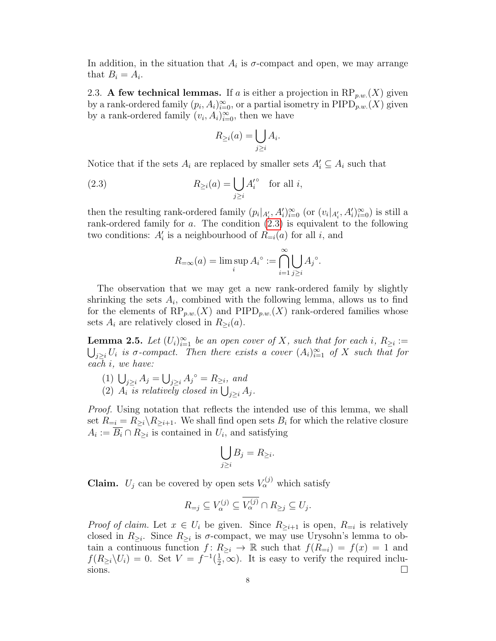In addition, in the situation that  $A_i$  is  $\sigma$ -compact and open, we may arrange that  $B_i = A_i$ .

2.3. A few technical lemmas. If a is either a projection in  $\mathbb{RP}_{p,w}(X)$  given by a rank-ordered family  $(p_i, A_i)_{i=0}^{\infty}$ , or a partial isometry in PIPD<sub>p.w.</sub>(X) given by a rank-ordered family  $(v_i, A_i)_{i=0}^{\infty}$ , then we have

<span id="page-7-0"></span>
$$
R_{\geq i}(a) = \bigcup_{j \geq i} A_i.
$$

Notice that if the sets  $A_i$  are replaced by smaller sets  $A'_i \subseteq A_i$  such that

(2.3) 
$$
R_{\geq i}(a) = \bigcup_{j\geq i} A_i'^{\circ} \text{ for all } i,
$$

then the resulting rank-ordered family  $(p_i|_{A'_i}, A'_i)_{i=0}^{\infty}$  (or  $(v_i|_{A'_i}, A'_i)_{i=0}^{\infty})$  is still a rank-ordered family for a. The condition [\(2.3\)](#page-7-0) is equivalent to the following two conditions:  $A_i'$  is a neighbourhood of  $R_{=i}(a)$  for all i, and

$$
R_{=\infty}(a) = \limsup_{i} A_i^{\circ} := \bigcap_{i=1}^{\infty} \bigcup_{j \ge i} A_j^{\circ}.
$$

The observation that we may get a new rank-ordered family by slightly shrinking the sets  $A_i$ , combined with the following lemma, allows us to find for the elements of  $\text{RP}_{p,w}(X)$  and  $\text{PIPD}_{p,w}(X)$  rank-ordered families whose sets  $A_i$  are relatively closed in  $R_{\geq i}(a)$ .

<span id="page-7-2"></span>**Lemma 2.5.** Let  $(U_i)_{i=1}^{\infty}$  be an open cover of X, such that for each i,  $R_{\geq i}$  :=  $\bigcup_{j\geq i}U_i$  is  $\sigma$ -compact. Then there exists a cover  $(A_i)_{i=1}^{\infty}$  of X such that for each i, we have:

- <span id="page-7-1"></span>(1)  $\bigcup_{j\geq i} A_j = \bigcup_{j\geq i} A_j^{\circ} = R_{\geq i}$ , and
- (2)  $A_i$  is relatively closed in  $\bigcup_{j\geq i} A_j$ .

Proof. Using notation that reflects the intended use of this lemma, we shall set  $R_{=i} = R_{\geq i} \setminus R_{\geq i+1}$ . We shall find open sets  $B_i$  for which the relative closure  $A_i := \overline{B_i} \cap R_{\geq i}$  is contained in  $U_i$ , and satisfying

$$
\bigcup_{j\geq i}B_j=R_{\geq i}.
$$

**Claim.**  $U_j$  can be covered by open sets  $V_\alpha^{(j)}$  which satisfy

$$
R_{=j}\subseteq V_{\alpha}^{(j)}\subseteq \overline{V_{\alpha}^{(j)}}\cap R_{\geq j}\subseteq U_j.
$$

*Proof of claim.* Let  $x \in U_i$  be given. Since  $R_{\geq i+1}$  is open,  $R_{=i}$  is relatively closed in  $R_{\geq i}$ . Since  $R_{\geq i}$  is  $\sigma$ -compact, we may use Urysohn's lemma to obtain a continuous function  $f: R_{\geq i} \to \mathbb{R}$  such that  $f(R_{=i}) = f(x) = 1$  and  $f(R_{\geq i}\backslash U_i) = 0.$  Set  $V = f^{-1}(\frac{1}{2})$  $(\frac{1}{2}, \infty)$ . It is easy to verify the required inclu- $\sum_{i=1}^{n}$  sions.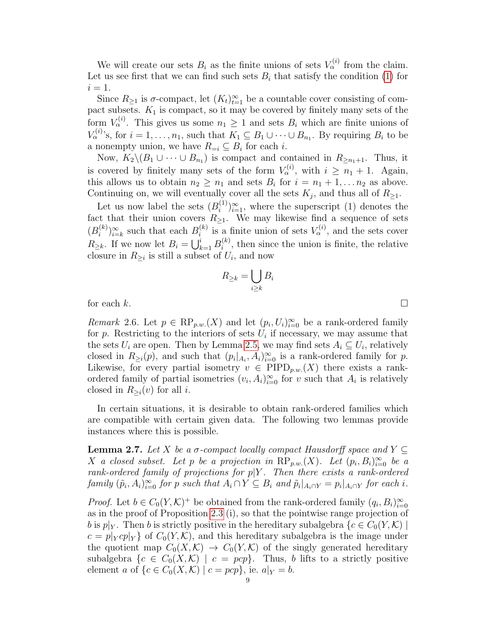We will create our sets  $B_i$  as the finite unions of sets  $V_\alpha^{(i)}$  from the claim. Let us see first that we can find such sets  $B_i$  that satisfy the condition [\(1\)](#page-7-1) for  $i=1$ .

Since  $R_{\geq 1}$  is  $\sigma$ -compact, let  $(K_t)_{t=1}^{\infty}$  be a countable cover consisting of compact subsets.  $K_1$  is compact, so it may be covered by finitely many sets of the form  $V_{\alpha}^{(i)}$ . This gives us some  $n_1 \geq 1$  and sets  $B_i$  which are finite unions of  $V_{\alpha}^{(i)}$ 's, for  $i = 1, \ldots, n_1$ , such that  $K_1 \subseteq B_1 \cup \cdots \cup B_{n_1}$ . By requiring  $B_i$  to be a nonempty union, we have  $R_{=i} \subseteq B_i$  for each *i*.

Now,  $K_2 \setminus (B_1 \cup \cdots \cup B_{n_1})$  is compact and contained in  $R_{\geq n_1+1}$ . Thus, it is covered by finitely many sets of the form  $V_{\alpha}^{(i)}$ , with  $i \geq n_1 + 1$ . Again, this allows us to obtain  $n_2 \geq n_1$  and sets  $B_i$  for  $i = n_1 + 1, \ldots n_2$  as above. Continuing on, we will eventually cover all the sets  $K_j$ , and thus all of  $R_{\geq 1}$ .

Let us now label the sets  $(B_i^{(1)})$  $\binom{1}{i}\}_{i=1}^{\infty}$ , where the superscript (1) denotes the fact that their union covers  $R_{\geq 1}$ . We may likewise find a sequence of sets  $(B_i^{(k)}$  $\sum_{i=1}^{(k)}$  and that each  $B_i^{(k)}$  $\mathbf{u}_i^{(k)}$  is a finite union of sets  $V_\alpha^{(i)}$ , and the sets cover  $R_{\geq k}$ . If we now let  $B_i = \bigcup_{k=1}^i B_i^{(k)}$  $i^{(k)}$ , then since the union is finite, the relative closure in  $R_{\geq i}$  is still a subset of  $U_i$ , and now

$$
R_{\geq k} = \bigcup_{i \geq k} B_i
$$

for each  $k$ .

<span id="page-8-1"></span>Remark 2.6. Let  $p \in \text{RP}_{p,w}(X)$  and let  $(p_i, U_i)_{i=0}^{\infty}$  be a rank-ordered family for p. Restricting to the interiors of sets  $U_i$  if necessary, we may assume that the sets  $U_i$  are open. Then by Lemma [2.5,](#page-7-2) we may find sets  $A_i \subseteq U_i$ , relatively closed in  $R_{\geq i}(p)$ , and such that  $(p_i|_{A_i}, A_i)_{i=0}^{\infty}$  is a rank-ordered family for p. Likewise, for every partial isometry  $v \in \text{PIPD}_{p,w}(X)$  there exists a rankordered family of partial isometries  $(v_i, A_i)_{i=0}^{\infty}$  for v such that  $A_i$  is relatively closed in  $R_{\geq i}(v)$  for all *i*.

In certain situations, it is desirable to obtain rank-ordered families which are compatible with certain given data. The following two lemmas provide instances where this is possible.

<span id="page-8-0"></span>**Lemma 2.7.** Let X be a  $\sigma$ -compact locally compact Hausdorff space and Y  $\subseteq$ X a closed subset. Let p be a projection in  $\mathbb{RP}_{p,w}(X)$ . Let  $(p_i, B_i)_{i=0}^{\infty}$  be a rank-ordered family of projections for  $p|Y$ . Then there exists a rank-ordered family  $(\tilde{p}_i, A_i)_{i=0}^{\infty}$  for p such that  $A_i \cap Y \subseteq B_i$  and  $\tilde{p}_i|_{A_i \cap Y} = p_i|_{A_i \cap Y}$  for each i.

*Proof.* Let  $b \in C_0(Y,\mathcal{K})^+$  be obtained from the rank-ordered family  $(q_i, B_i)_{i=0}^{\infty}$ as in the proof of Proposition [2.3](#page-5-0) (i), so that the pointwise range projection of b is  $p|_Y$ . Then b is strictly positive in the hereditary subalgebra  $\{c \in C_0(Y, \mathcal{K})\}$  $c = p|_{Y}cp|_{Y}$  of  $C_0(Y,\mathcal{K})$ , and this hereditary subalgebra is the image under the quotient map  $C_0(X,\mathcal{K}) \to C_0(Y,\mathcal{K})$  of the singly generated hereditary subalgebra  $\{c \in C_0(X,\mathcal{K}) \mid c = pcp\}$ . Thus, b lifts to a strictly positive element a of  $\{c \in C_0(X, K) \mid c = pcp\}$ , ie.  $a|_Y = b$ .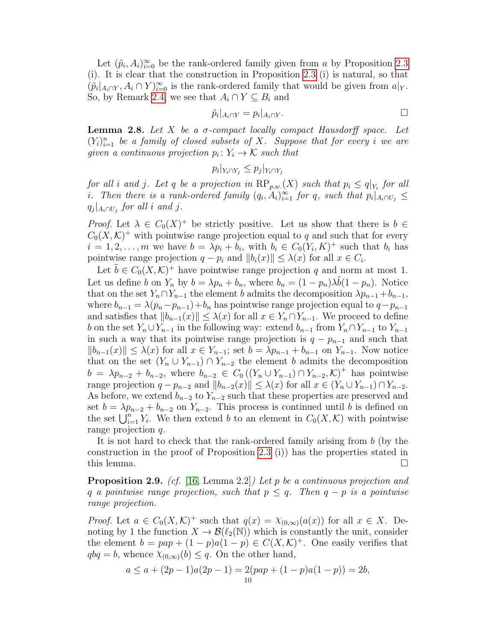Let  $(\tilde{p}_i, A_i)_{i=0}^{\infty}$  be the rank-ordered family given from a by Proposition [2.3](#page-5-0) (i). It is clear that the construction in Proposition [2.3](#page-5-0) (i) is natural, so that  $(\tilde{p}_i|_{A_i \cap Y}, A_i \cap Y)_{i=0}^{\infty}$  is the rank-ordered family that would be given from  $a|_Y$ . So, by Remark [2.4,](#page-6-0) we see that  $A_i \cap Y \subseteq B_i$  and

$$
\tilde{p}_i|_{A_i \cap Y} = p_i|_{A_i \cap Y}.
$$

<span id="page-9-1"></span>**Lemma 2.8.** Let X be a  $\sigma$ -compact locally compact Hausdorff space. Let  $(Y_i)_{i=1}^n$  be a family of closed subsets of X. Suppose that for every i we are given a continuous projection  $p_i: Y_i \to \mathcal{K}$  such that

 $p_i|_{Y_i \cap Y_j} \leq p_j|_{Y_i \cap Y_j}$ 

for all i and j. Let q be a projection in  $\text{RP}_{p.w.}(X)$  such that  $p_i \leq q|_{Y_i}$  for all i. Then there is a rank-ordered family  $(q_i, A_i)_{i=1}^{\infty}$  for q, such that  $p_i|_{A_i \cap U_j} \leq$  $q_j|_{A_i \cap U_j}$  for all i and j.

*Proof.* Let  $\lambda \in C_0(X)^+$  be strictly positive. Let us show that there is  $b \in$  $C_0(X,\mathcal{K})^+$  with pointwise range projection equal to q and such that for every  $i = 1, 2, \ldots, m$  we have  $b = \lambda p_i + b_i$ , with  $b_i \in C_0(Y_i, K)^+$  such that  $b_i$  has pointwise range projection  $q - p_i$  and  $||b_i(x)|| \leq \lambda(x)$  for all  $x \in C_i$ .

Let  $\tilde{b} \in C_0(X,\mathcal{K})^+$  have pointwise range projection q and norm at most 1. Let us define b on  $Y_n$  by  $b = \lambda p_n + b_n$ , where  $b_n = (1 - p_n)\lambda \tilde{b}(1 - p_n)$ . Notice that on the set  $Y_n \cap Y_{n-1}$  the element b admits the decomposition  $\lambda p_{n-1} + b_{n-1}$ , where  $b_{n-1} = \lambda(p_n - p_{n-1}) + b_n$  has pointwise range projection equal to  $q-p_{n-1}$ and satisfies that  $||b_{n-1}(x)|| \leq \lambda(x)$  for all  $x \in Y_n \cap Y_{n-1}$ . We proceed to define b on the set  $Y_n \cup Y_{n-1}$  in the following way: extend  $b_{n-1}$  from  $Y_n \cap Y_{n-1}$  to  $Y_{n-1}$ in such a way that its pointwise range projection is  $q - p_{n-1}$  and such that  $||b_{n-1}(x)|| \leq \lambda(x)$  for all  $x \in Y_{n-1}$ ; set  $b = \lambda p_{n-1} + b_{n-1}$  on  $Y_{n-1}$ . Now notice that on the set  $(Y_n \cup Y_{n-1}) \cap Y_{n-2}$  the element b admits the decomposition  $b = \lambda p_{n-2} + b_{n-2}$ , where  $b_{n-2} \in C_0((Y_n \cup Y_{n-1}) \cap Y_{n-2}, \mathcal{K})^+$  has pointwise range projection  $q - p_{n-2}$  and  $||b_{n-2}(x)|| \leq \lambda(x)$  for all  $x \in (Y_n \cup Y_{n-1}) \cap Y_{n-2}$ . As before, we extend  $b_{n-2}$  to  $Y_{n-2}$  such that these properties are preserved and set  $b = \lambda p_{n-2} + b_{n-2}$  on  $Y_{n-2}$ . This process is continued until b is defined on the set  $\bigcup_{i=1}^n Y_i$ . We then extend b to an element in  $C_0(X,\mathcal{K})$  with pointwise range projection q.

It is not hard to check that the rank-ordered family arising from b (by the construction in the proof of Proposition [2.3](#page-5-0) (i)) has the properties stated in this lemma.  $\square$ 

<span id="page-9-0"></span>**Proposition 2.9.** (cf. [\[16,](#page-32-6) Lemma 2.2]) Let p be a continuous projection and q a pointwise range projection, such that  $p \leq q$ . Then  $q - p$  is a pointwise range projection.

*Proof.* Let  $a \in C_0(X,\mathcal{K})^+$  such that  $q(x) = \chi_{(0,\infty)}(a(x))$  for all  $x \in X$ . Denoting by 1 the function  $X \to \mathcal{B}(\ell_2(N))$  which is constantly the unit, consider the element  $b = pap + (1 - p)a(1 - p) \in C(X, \mathcal{K})^+$ . One easily verifies that  $q b q = b$ , whence  $\chi_{(0,\infty)}(b) \leq q$ . On the other hand,

$$
a \le a + (2p - 1)a(2p - 1) = 2(pap + (1 - p)a(1 - p)) = 2b,
$$
  
<sub>10</sub>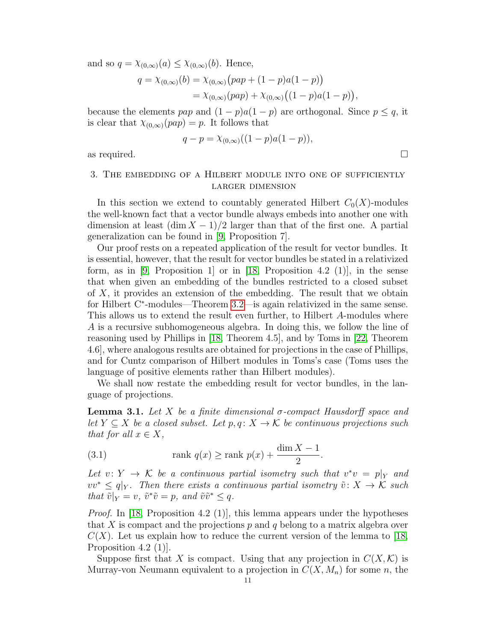and so  $q = \chi_{(0,\infty)}(a) \leq \chi_{(0,\infty)}(b)$ . Hence,

$$
q = \chi_{(0,\infty)}(b) = \chi_{(0,\infty)}(pap + (1-p)a(1-p))
$$
  
=  $\chi_{(0,\infty)}(pap) + \chi_{(0,\infty)}((1-p)a(1-p)),$ 

because the elements pap and  $(1 - p)a(1 - p)$  are orthogonal. Since  $p \leq q$ , it is clear that  $\chi_{(0,\infty)}(pap) = p$ . It follows that

$$
q - p = \chi_{(0,\infty)}((1-p)a(1-p)),
$$

as required.  $\Box$ 

# <span id="page-10-0"></span>3. The embedding of a Hilbert module into one of sufficiently larger dimension

In this section we extend to countably generated Hilbert  $C_0(X)$ -modules the well-known fact that a vector bundle always embeds into another one with dimension at least  $(\dim X - 1)/2$  larger than that of the first one. A partial generalization can be found in [\[9,](#page-31-6) Proposition 7].

Our proof rests on a repeated application of the result for vector bundles. It is essential, however, that the result for vector bundles be stated in a relativized form, as in [\[9,](#page-31-6) Proposition 1] or in [\[18,](#page-32-7) Proposition 4.2 (1)], in the sense that when given an embedding of the bundles restricted to a closed subset of X, it provides an extension of the embedding. The result that we obtain for Hilbert C<sup>\*</sup>-modules—Theorem [3.2—](#page-11-0)is again relativized in the same sense. This allows us to extend the result even further, to Hilbert A-modules where A is a recursive subhomogeneous algebra. In doing this, we follow the line of reasoning used by Phillips in [\[18,](#page-32-7) Theorem 4.5], and by Toms in [\[22,](#page-32-2) Theorem 4.6], where analogous results are obtained for projections in the case of Phillips, and for Cuntz comparison of Hilbert modules in Toms's case (Toms uses the language of positive elements rather than Hilbert modules).

We shall now restate the embedding result for vector bundles, in the language of projections.

<span id="page-10-1"></span>**Lemma 3.1.** Let X be a finite dimensional  $\sigma$ -compact Hausdorff space and let  $Y \subseteq X$  be a closed subset. Let  $p, q \colon X \to \mathcal{K}$  be continuous projections such that for all  $x \in X$ ,

(3.1) 
$$
\operatorname{rank} q(x) \ge \operatorname{rank} p(x) + \frac{\dim X - 1}{2}.
$$

Let  $v: Y \to \mathcal{K}$  be a continuous partial isometry such that  $v^*v = p|_Y$  and  $vv^* \leq q|_Y$ . Then there exists a continuous partial isometry  $\tilde{v}: X \to \mathcal{K}$  such that  $\tilde{v}|_Y = v$ ,  $\tilde{v}^* \tilde{v} = p$ , and  $\tilde{v} \tilde{v}^* \leq q$ .

*Proof.* In [\[18,](#page-32-7) Proposition 4.2 (1)], this lemma appears under the hypotheses that X is compact and the projections  $p$  and  $q$  belong to a matrix algebra over  $C(X)$ . Let us explain how to reduce the current version of the lemma to [\[18,](#page-32-7) Proposition 4.2 (1)].

Suppose first that X is compact. Using that any projection in  $C(X,\mathcal{K})$  is Murray-von Neumann equivalent to a projection in  $C(X, M_n)$  for some n, the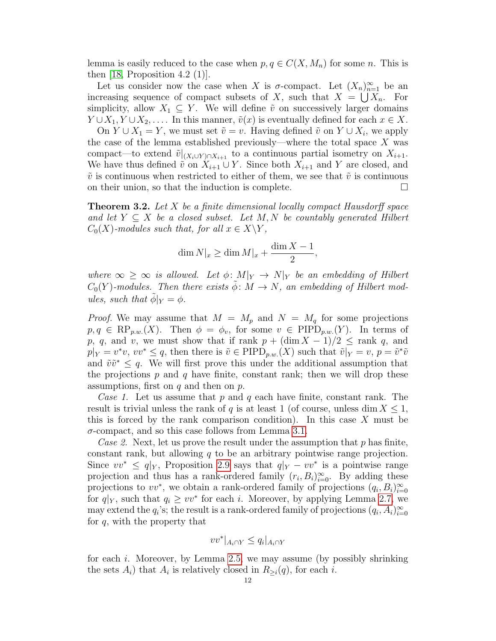lemma is easily reduced to the case when  $p, q \in C(X, M_n)$  for some n. This is then  $[18,$  Proposition 4.2  $(1)$ ].

Let us consider now the case when X is  $\sigma$ -compact. Let  $(X_n)_{n=1}^{\infty}$  be an increasing sequence of compact subsets of X, such that  $X = \bigcup X_n$ . For simplicity, allow  $X_1 \subseteq Y$ . We will define  $\tilde{v}$  on successively larger domains  $Y \cup X_1, Y \cup X_2, \ldots$  In this manner,  $\tilde{v}(x)$  is eventually defined for each  $x \in X$ .

On  $Y \cup X_1 = Y$ , we must set  $\tilde{v} = v$ . Having defined  $\tilde{v}$  on  $Y \cup X_i$ , we apply the case of the lemma established previously—where the total space  $X$  was compact—to extend  $\tilde{v}|_{(X_i \cup Y) \cap X_{i+1}}$  to a continuous partial isometry on  $X_{i+1}$ . We have thus defined  $\tilde{v}$  on  $X_{i+1} \cup Y$ . Since both  $X_{i+1}$  and Y are closed, and  $\tilde{v}$  is continuous when restricted to either of them, we see that  $\tilde{v}$  is continuous on their union, so that the induction is complete.  $\Box$ 

<span id="page-11-0"></span>**Theorem 3.2.** Let  $X$  be a finite dimensional locally compact Hausdorff space and let  $Y \subseteq X$  be a closed subset. Let M, N be countably generated Hilbert  $C_0(X)$ -modules such that, for all  $x \in X \backslash Y$ ,

$$
\dim N|_{x} \ge \dim M|_{x} + \frac{\dim X - 1}{2},
$$

where  $\infty \geq \infty$  is allowed. Let  $\phi \colon M|_Y \to N|_Y$  be an embedding of Hilbert  $C_0(Y)$ -modules. Then there exists  $\tilde{\phi}$ :  $M \to N$ , an embedding of Hilbert modules, such that  $\phi|_Y = \phi$ .

*Proof.* We may assume that  $M = M_p$  and  $N = M_q$  for some projections  $p, q \in \text{RP}_{p.w.}(X)$ . Then  $\phi = \phi_v$ , for some  $v \in \text{PIPD}_{p.w.}(Y)$ . In terms of p, q, and v, we must show that if rank  $p + (\dim X - 1)/2 \le$  rank q, and  $p|_Y = v^*v, vv^* \leq q$ , then there is  $\tilde{v} \in \text{PIPD}_{p.w.}(X)$  such that  $\tilde{v}|_Y = v, p = \tilde{v}^*\tilde{v}$ and  $\tilde{v}\tilde{v}^* \leq q$ . We will first prove this under the additional assumption that the projections  $p$  and  $q$  have finite, constant rank; then we will drop these assumptions, first on  $q$  and then on  $p$ .

<span id="page-11-1"></span>Case 1. Let us assume that p and q each have finite, constant rank. The result is trivial unless the rank of q is at least 1 (of course, unless dim  $X \leq 1$ , this is forced by the rank comparison condition). In this case  $X$  must be  $\sigma$ -compact, and so this case follows from Lemma [3.1.](#page-10-1)

<span id="page-11-2"></span>Case 2. Next, let us prove the result under the assumption that  $p$  has finite, constant rank, but allowing  $q$  to be an arbitrary pointwise range projection. Since  $vv^* \leq q|_Y$ , Proposition [2.9](#page-9-0) says that  $q|_Y - vv^*$  is a pointwise range projection and thus has a rank-ordered family  $(r_i, B_i)_{i=0}^{\infty}$ . By adding these projections to  $vv^*$ , we obtain a rank-ordered family of projections  $(q_i, B_i)_{i=0}^{\infty}$ for  $q|_Y$ , such that  $q_i \geq vv^*$  for each i. Moreover, by applying Lemma [2.7,](#page-8-0) we may extend the  $q_i$ 's; the result is a rank-ordered family of projections  $(q_i, A_i)_{i=0}^{\infty}$ for  $q$ , with the property that

$$
vv^*|_{A_i \cap Y} \le q_i|_{A_i \cap Y}
$$

for each i. Moreover, by Lemma [2.5,](#page-7-2) we may assume (by possibly shrinking the sets  $A_i$ ) that  $A_i$  is relatively closed in  $R_{\geq i}(q)$ , for each *i*.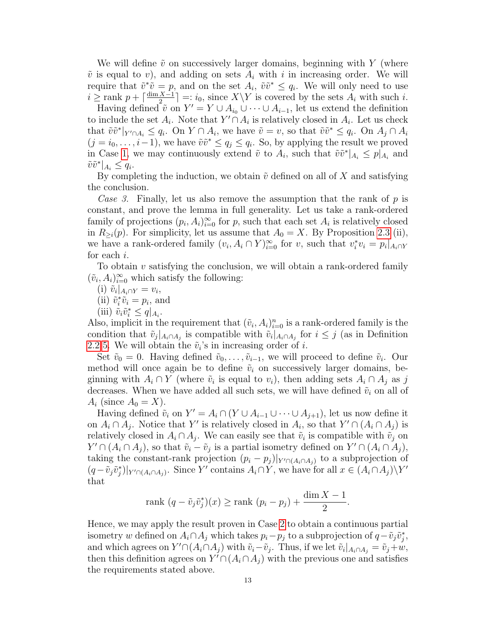We will define  $\tilde{v}$  on successively larger domains, beginning with Y (where  $\tilde{v}$  is equal to v), and adding on sets  $A_i$  with i in increasing order. We will require that  $\tilde{v}^*\tilde{v} = p$ , and on the set  $A_i$ ,  $\tilde{v}\tilde{v}^* \le q_i$ . We will only need to use  $i \geq \text{rank } p + \lceil \frac{\dim X - 1}{2} \rceil$  $\lfloor \frac{X-1}{2} \rfloor =: i_0$ , since  $X \backslash Y$  is covered by the sets  $A_i$  with such i.

Having defined  $\tilde{v}$  on  $Y' = Y \cup A_{i_0} \cup \cdots \cup A_{i-1}$ , let us extend the definition to include the set  $A_i$ . Note that  $Y' \cap A_i$  is relatively closed in  $A_i$ . Let us check that  $\tilde{v}\tilde{v}^*|_{Y' \cap A_i} \leq q_i$ . On  $Y \cap A_i$ , we have  $\tilde{v} = v$ , so that  $\tilde{v}\tilde{v}^* \leq q_i$ . On  $A_j \cap A_i$  $(j = i_0, \ldots, i-1)$ , we have  $\tilde{v}\tilde{v}^* \le q_j \le q_i$ . So, by applying the result we proved in Case [1,](#page-11-1) we may continuously extend  $\tilde{v}$  to  $A_i$ , such that  $\tilde{v}\tilde{v}^*|_{A_i} \leq p|_{A_i}$  and  $\tilde{v}\tilde{v}^*|_{A_i} \leq q_i.$ 

By completing the induction, we obtain  $\tilde{v}$  defined on all of X and satisfying the conclusion.

Case 3. Finally, let us also remove the assumption that the rank of  $p$  is constant, and prove the lemma in full generality. Let us take a rank-ordered family of projections  $(p_i, A_i)_{i=0}^{\infty}$  for p, such that each set  $A_i$  is relatively closed in  $R_{\geq i}(p)$ . For simplicity, let us assume that  $A_0 = X$ . By Proposition [2.3](#page-5-0) (ii), we have a rank-ordered family  $(v_i, A_i \cap Y)_{i=0}^{\infty}$  for v, such that  $v_i^* v_i = p_i |_{A_i \cap Y}$ for each i.

To obtain  $v$  satisfying the conclusion, we will obtain a rank-ordered family  $(\tilde{v}_i, A_i)_{i=0}^{\infty}$  which satisfy the following:

- (i)  $\tilde{v}_i|_{A_i \cap Y} = v_i,$
- (ii)  $\tilde{v}_i^* \tilde{v}_i = p_i$ , and
- (iii)  $\tilde{v}_i \tilde{v}_i^* \leq q|_{A_i}$ .

Also, implicit in the requirement that  $(\tilde{v}_i, A_i)_{i=0}^n$  is a rank-ordered family is the condition that  $\tilde{v}_j|_{A_i \cap A_j}$  is compatible with  $\tilde{v}_i|_{A_i \cap A_j}$  for  $i \leq j$  (as in Definition [2.2](#page-4-0) [5.](#page-5-1) We will obtain the  $\tilde{v}_i$ 's in increasing order of *i*.

Set  $\tilde{v}_0 = 0$ . Having defined  $\tilde{v}_0, \ldots, \tilde{v}_{i-1}$ , we will proceed to define  $\tilde{v}_i$ . Our method will once again be to define  $\tilde{v}_i$  on successively larger domains, beginning with  $A_i \cap Y$  (where  $\tilde{v}_i$  is equal to  $v_i$ ), then adding sets  $A_i \cap A_j$  as j decreases. When we have added all such sets, we will have defined  $\tilde{v}_i$  on all of  $A_i$  (since  $A_0 = X$ ).

Having defined  $\tilde{v}_i$  on  $Y' = A_i \cap (Y \cup A_{i-1} \cup \cdots \cup A_{j+1}),$  let us now define it on  $A_i \cap A_j$ . Notice that Y' is relatively closed in  $A_i$ , so that  $Y' \cap (A_i \cap A_j)$  is relatively closed in  $A_i \cap A_j$ . We can easily see that  $\tilde{v}_i$  is compatible with  $\tilde{v}_j$  on  $Y' \cap (A_i \cap A_j)$ , so that  $\tilde{v}_i - \tilde{v}_j$  is a partial isometry defined on  $Y' \cap (A_i \cap A_j)$ , taking the constant-rank projection  $(p_i - p_j)|_{Y' \cap (A_i \cap A_j)}$  to a subprojection of  $(q-\tilde{v}_j\tilde{v}_j^*)|_{Y'\cap (A_i\cap A_j)}$ . Since Y' contains  $A_i\cap Y$ , we have for all  $x\in (A_i\cap A_j)\backslash Y'$ that

$$
rank (q - \tilde{v}_j \tilde{v}_j^*)(x) \ge rank (p_i - p_j) + \frac{\dim X - 1}{2}.
$$

Hence, we may apply the result proven in Case [2](#page-11-2) to obtain a continuous partial isometry w defined on  $A_i \cap A_j$  which takes  $p_i - p_j$  to a subprojection of  $q - \tilde{v}_j \tilde{v}_j^*$ , and which agrees on  $Y' \cap (A_i \cap A_j)$  with  $\tilde{v}_i - \tilde{v}_j$ . Thus, if we let  $\tilde{v}_i|_{A_i \cap A_j} = \tilde{v}_j + w$ , then this definition agrees on  $Y' \cap (A_i \cap A_j)$  with the previous one and satisfies the requirements stated above.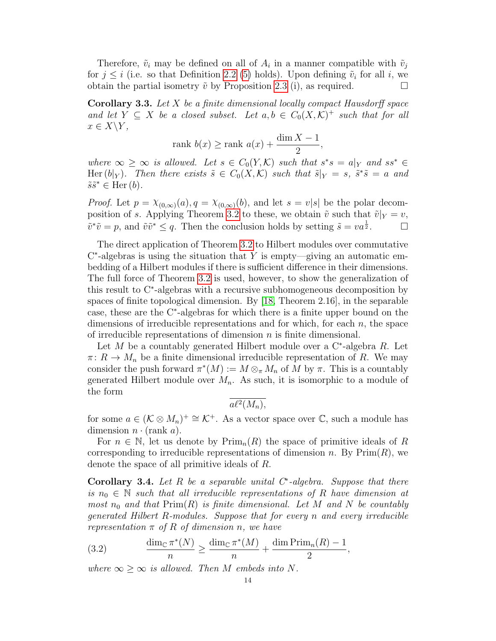Therefore,  $\tilde{v}_i$  may be defined on all of  $A_i$  in a manner compatible with  $\tilde{v}_j$ for  $j \leq i$  (i.e. so that Definition [2.2](#page-4-0) [\(5\)](#page-5-1) holds). Upon defining  $\tilde{v}_i$  for all i, we obtain the partial isometry  $\tilde{v}$  by Proposition [2.3](#page-5-0) (i), as required.

<span id="page-13-2"></span>**Corollary 3.3.** Let  $X$  be a finite dimensional locally compact Hausdorff space and let  $Y \subseteq X$  be a closed subset. Let  $a, b \in C_0(X, \mathcal{K})^+$  such that for all  $x \in X \backslash Y$ ,

$$
rank b(x) \ge rank a(x) + \frac{\dim X - 1}{2},
$$

where  $\infty \geq \infty$  is allowed. Let  $s \in C_0(Y, \mathcal{K})$  such that  $s^*s = a|_Y$  and  $ss^* \in$ Her  $(b|_Y)$ . Then there exists  $\tilde{s} \in C_0(X,\mathcal{K})$  such that  $\tilde{s}|_Y = s$ ,  $\tilde{s}^* \tilde{s} = a$  and  $\tilde{s}\tilde{s}^* \in \text{Her}(b).$ 

*Proof.* Let  $p = \chi_{(0,\infty)}(a), q = \chi_{(0,\infty)}(b)$ , and let  $s = v|s|$  be the polar decom-position of s. Applying Theorem [3.2](#page-11-0) to these, we obtain  $\tilde{v}$  such that  $\tilde{v}|_Y = v$ ,  $\tilde{v}^*\tilde{v} = p$ , and  $\tilde{v}\tilde{v}^* \leq q$ . Then the conclusion holds by setting  $\tilde{s} = v a^{\frac{1}{2}}$ .

The direct application of Theorem [3.2](#page-11-0) to Hilbert modules over commutative  $C^*$ -algebras is using the situation that Y is empty—giving an automatic embedding of a Hilbert modules if there is sufficient difference in their dimensions. The full force of Theorem [3.2](#page-11-0) is used, however, to show the generalization of this result to C<sup>∗</sup> -algebras with a recursive subhomogeneous decomposition by spaces of finite topological dimension. By [\[18,](#page-32-7) Theorem 2.16], in the separable case, these are the C<sup>∗</sup> -algebras for which there is a finite upper bound on the dimensions of irreducible representations and for which, for each  $n$ , the space of irreducible representations of dimension  $n$  is finite dimensional.

Let  $M$  be a countably generated Hilbert module over a C<sup>\*</sup>-algebra  $R$ . Let  $\pi: R \to M_n$  be a finite dimensional irreducible representation of R. We may consider the push forward  $\pi^*(M) := M \otimes_{\pi} M_n$  of M by  $\pi$ . This is a countably generated Hilbert module over  $M_n$ . As such, it is isomorphic to a module of the form

 $a\ell^2(M_n),$ 

for some  $a \in (\mathcal{K} \otimes M_n)^+ \cong \mathcal{K}^+$ . As a vector space over  $\mathbb{C}$ , such a module has dimension  $n \cdot (rank a)$ .

For  $n \in \mathbb{N}$ , let us denote by  $\text{Prim}_{n}(R)$  the space of primitive ideals of R corresponding to irreducible representations of dimension n. By  $\text{Prim}(R)$ , we denote the space of all primitive ideals of R.

<span id="page-13-0"></span>Corollary 3.4. Let R be a separable unital  $C^*$ -algebra. Suppose that there is  $n_0 \in \mathbb{N}$  such that all irreducible representations of R have dimension at most  $n_0$  and that  $\text{Prim}(R)$  is finite dimensional. Let M and N be countably generated Hilbert R-modules. Suppose that for every n and every irreducible representation  $\pi$  of R of dimension n, we have

<span id="page-13-1"></span>(3.2) 
$$
\frac{\dim_{\mathbb{C}} \pi^*(N)}{n} \ge \frac{\dim_{\mathbb{C}} \pi^*(M)}{n} + \frac{\dim \text{Prim}_n(R) - 1}{2},
$$

where  $\infty \geq \infty$  is allowed. Then M embeds into N.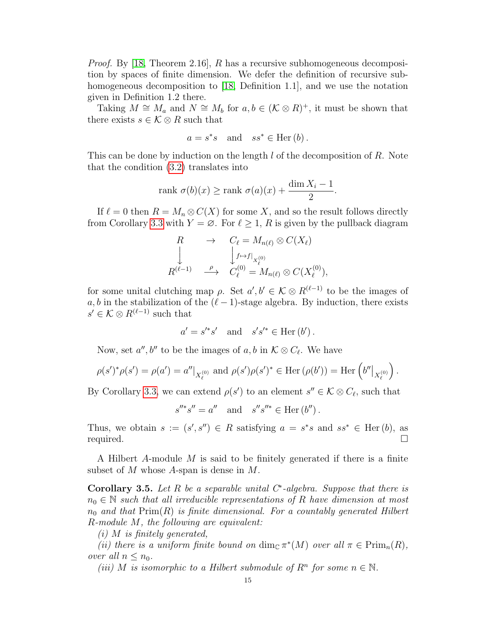*Proof.* By [\[18,](#page-32-7) Theorem 2.16], R has a recursive subhomogeneous decomposition by spaces of finite dimension. We defer the definition of recursive subhomogeneous decomposition to [\[18,](#page-32-7) Definition 1.1], and we use the notation given in Definition 1.2 there.

Taking  $M \cong M_a$  and  $N \cong M_b$  for  $a, b \in (\mathcal{K} \otimes R)^+$ , it must be shown that there exists  $s \in \mathcal{K} \otimes R$  such that

$$
a = s^*s
$$
 and  $ss^* \in \text{Her}(b)$ .

This can be done by induction on the length  $l$  of the decomposition of  $R$ . Note that the condition [\(3.2\)](#page-13-1) translates into

$$
rank \sigma(b)(x) \ge rank \sigma(a)(x) + \frac{\dim X_i - 1}{2}.
$$

If  $\ell = 0$  then  $R = M_n \otimes C(X)$  for some X, and so the result follows directly from Corollary [3.3](#page-13-2) with  $Y = \emptyset$ . For  $\ell \geq 1$ , R is given by the pullback diagram

$$
R \rightarrow C_{\ell} = M_{n(\ell)} \otimes C(X_{\ell})
$$
  
\n
$$
\downarrow \qquad \qquad \downarrow f \mapsto f \vert_{X_{\ell}^{(0)}}
$$
  
\n
$$
R^{(\ell-1)} \xrightarrow{\rho} C_{\ell}^{(0)} = M_{n(\ell)} \otimes C(X_{\ell}^{(0)}),
$$

for some unital clutching map  $\rho$ . Set  $a', b' \in \mathcal{K} \otimes R^{(\ell-1)}$  to be the images of a, b in the stabilization of the  $(\ell - 1)$ -stage algebra. By induction, there exists  $s' \in \mathcal{K} \otimes R^{(\ell-1)}$  such that

$$
a' = s'^*s'
$$
 and  $s's'^* \in \text{Her}(b')$ .

Now, set  $a'', b''$  to be the images of  $a, b$  in  $\mathcal{K} \otimes C_{\ell}$ . We have

$$
\rho(s')^*\rho(s') = \rho(a') = a''|_{X_{\ell}^{(0)}} \text{ and } \rho(s')\rho(s')^* \in \text{Her}(\rho(b')) = \text{Her}\left(b''|_{X_{\ell}^{(0)}}\right).
$$

By Corollary [3.3,](#page-13-2) we can extend  $\rho(s')$  to an element  $s'' \in \mathcal{K} \otimes C_{\ell}$ , such that

$$
s''^*s'' = a''
$$
 and  $s''s''^* \in Her(b'')$ .

Thus, we obtain  $s := (s', s'') \in R$  satisfying  $a = s^*s$  and  $ss^* \in \text{Her}(b)$ , as required.  $\Box$ 

A Hilbert A-module M is said to be finitely generated if there is a finite subset of M whose A-span is dense in M.

Corollary 3.5. Let R be a separable unital  $C^*$ -algebra. Suppose that there is  $n_0 \in \mathbb{N}$  such that all irreducible representations of R have dimension at most  $n_0$  and that  $\text{Prim}(R)$  is finite dimensional. For a countably generated Hilbert R-module M, the following are equivalent:

 $(i)$  M is finitely generated,

(ii) there is a uniform finite bound on  $\dim_{\mathbb{C}} \pi^*(M)$  over all  $\pi \in \text{Prim}_n(R)$ , over all  $n \leq n_0$ .

(iii) M is isomorphic to a Hilbert submodule of  $R<sup>n</sup>$  for some  $n \in \mathbb{N}$ .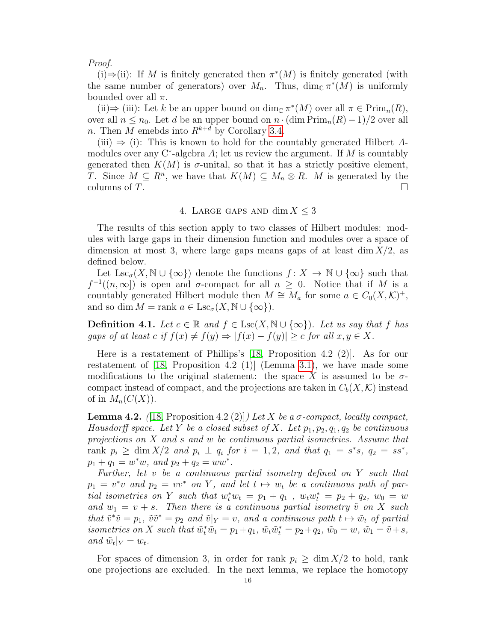### Proof.

(i)  $\Rightarrow$  (ii): If M is finitely generated then  $\pi^*(M)$  is finitely generated (with the same number of generators) over  $M_n$ . Thus,  $\dim_{\mathbb{C}} \pi^*(M)$  is uniformly bounded over all  $\pi$ .

(ii)  $\Rightarrow$  (iii): Let k be an upper bound on dim<sub>C</sub>  $\pi^*(M)$  over all  $\pi \in \text{Prim}_n(R)$ , over all  $n \leq n_0$ . Let d be an upper bound on  $n \cdot (\dim \text{Prim}_n(R) - 1)/2$  over all n. Then  $\overline{M}$  emebds into  $R^{k+\overline{d}}$  by Corollary [3.4.](#page-13-0)

(iii)  $\Rightarrow$  (i): This is known to hold for the countably generated Hilbert Amodules over any  $C^*$ -algebra A; let us review the argument. If M is countably generated then  $K(M)$  is  $\sigma$ -unital, so that it has a strictly positive element, T. Since  $M \subseteq R^n$ , we have that  $K(M) \subseteq M_n \otimes R$ . M is generated by the columns of  $T$ .

### 4. LARGE GAPS AND  $\dim X \leq 3$

<span id="page-15-0"></span>The results of this section apply to two classes of Hilbert modules: modules with large gaps in their dimension function and modules over a space of dimension at most 3, where large gaps means gaps of at least  $\dim X/2$ , as defined below.

Let  $\text{Lsc}_{\sigma}(X, \mathbb{N} \cup \{\infty\})$  denote the functions  $f: X \to \mathbb{N} \cup \{\infty\}$  such that  $f^{-1}((n,\infty))$  is open and  $\sigma$ -compact for all  $n \geq 0$ . Notice that if M is a countably generated Hilbert module then  $M \cong M_a$  for some  $a \in C_0(X, \mathcal{K})^+$ , and so dim  $M = \text{rank } a \in \text{Lsc}_{\sigma}(X, \mathbb{N} \cup \{\infty\}).$ 

**Definition 4.1.** Let  $c \in \mathbb{R}$  and  $f \in \text{Lsc}(X, \mathbb{N} \cup \{\infty\})$ . Let us say that f has gaps of at least c if  $f(x) \neq f(y) \Rightarrow |f(x) - f(y)| \geq c$  for all  $x, y \in X$ .

Here is a restatement of Phillips's [\[18,](#page-32-7) Proposition 4.2 (2)]. As for our restatement of  $[18,$  Proposition 4.2  $(1)$  (Lemma [3.1\)](#page-10-1), we have made some modifications to the original statement: the space X is assumed to be  $\sigma$ compact instead of compact, and the projections are taken in  $C_b(X, \mathcal{K})$  instead of in  $M_n(C(X))$ .

<span id="page-15-1"></span>**Lemma 4.2.** ([\[18,](#page-32-7) Proposition 4.2 (2)]) Let X be a  $\sigma$ -compact, locally compact, Hausdorff space. Let Y be a closed subset of X. Let  $p_1, p_2, q_1, q_2$  be continuous projections on X and s and w be continuous partial isometries. Assume that rank  $p_i \geq \dim X/2$  and  $p_i \perp q_i$  for  $i = 1, 2$ , and that  $q_1 = s^*s$ ,  $q_2 = ss^*$ ,  $p_1 + q_1 = w^*w$ , and  $p_2 + q_2 = ww^*$ .

Further, let v be a continuous partial isometry defined on Y such that  $p_1 = v^*v$  and  $p_2 = vv^*$  on Y, and let  $t \mapsto w_t$  be a continuous path of partial isometries on Y such that  $w_t^* w_t = p_1 + q_1$ ,  $w_t w_t^* = p_2 + q_2$ ,  $w_0 = w$ and  $w_1 = v + s$ . Then there is a continuous partial isometry  $\tilde{v}$  on X such that  $\tilde{v}^*\tilde{v} = p_1$ ,  $\tilde{v}\tilde{v}^* = p_2$  and  $\tilde{v}|_Y = v$ , and a continuous path  $t \mapsto \tilde{w}_t$  of partial isometries on X such that  $\tilde{w}_t^* \tilde{w}_t = p_1 + q_1$ ,  $\tilde{w}_t \tilde{w}_t^* = p_2 + q_2$ ,  $\tilde{w}_0 = w$ ,  $\tilde{w}_1 = \tilde{v} + s$ , and  $\tilde{w}_t|_Y = w_t$ .

For spaces of dimension 3, in order for rank  $p_i \geq \dim X/2$  to hold, rank one projections are excluded. In the next lemma, we replace the homotopy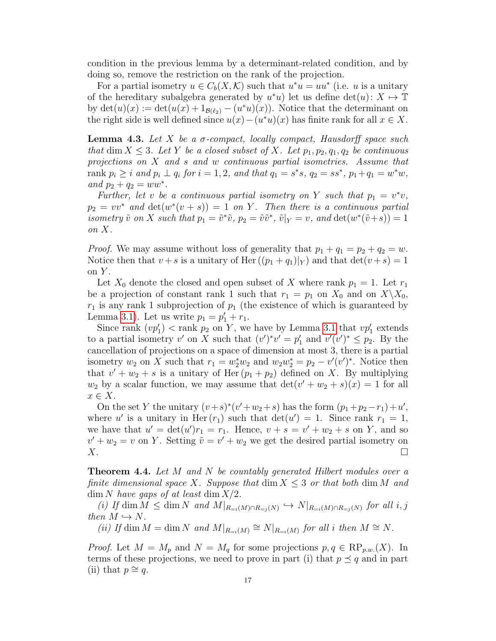condition in the previous lemma by a determinant-related condition, and by doing so, remove the restriction on the rank of the projection.

For a partial isometry  $u \in C_b(X, \mathcal{K})$  such that  $u^*u = uu^*$  (i.e. u is a unitary of the hereditary subalgebra generated by  $u^*u$ ) let us define  $\det(u): X \mapsto \mathbb{T}$ by  $\det(u)(x) := \det(u(x) + 1_{\mathcal{B}(\ell_2)} - (u^*u)(x))$ . Notice that the determinant on the right side is well defined since  $u(x) - (u^*u)(x)$  has finite rank for all  $x \in X$ .

<span id="page-16-1"></span>**Lemma 4.3.** Let X be a  $\sigma$ -compact, locally compact, Hausdorff space such that dim  $X \leq 3$ . Let Y be a closed subset of X. Let  $p_1, p_2, q_1, q_2$  be continuous projections on  $X$  and  $s$  and  $w$  continuous partial isometries. Assume that rank  $p_i \ge i$  and  $p_i \perp q_i$  for  $i = 1, 2$ , and that  $q_1 = s^*s$ ,  $q_2 = ss^*$ ,  $p_1 + q_1 = w^*w$ , and  $p_2 + q_2 = ww^*$ .

Further, let v be a continuous partial isometry on Y such that  $p_1 = v^*v$ ,  $p_2 = vv^*$  and  $\det(w^*(v+s)) = 1$  on Y. Then there is a continuous partial isometry  $\tilde{v}$  on X such that  $p_1 = \tilde{v}^*\tilde{v}$ ,  $p_2 = \tilde{v}\tilde{v}^*, \tilde{v}|_Y = v$ , and  $\det(w^*(\tilde{v}+s)) = 1$ on X.

*Proof.* We may assume without loss of generality that  $p_1 + q_1 = p_2 + q_2 = w$ . Notice then that  $v + s$  is a unitary of Her  $((p_1 + q_1)|_Y)$  and that  $\det(v + s) = 1$ on  $Y$ .

Let  $X_0$  denote the closed and open subset of X where rank  $p_1 = 1$ . Let  $r_1$ be a projection of constant rank 1 such that  $r_1 = p_1$  on  $X_0$  and on  $X\backslash X_0$ ,  $r_1$  is any rank 1 subprojection of  $p_1$  (the existence of which is guaranteed by Lemma [3.1\)](#page-10-1). Let us write  $p_1 = p'_1 + r_1$ .

Since rank  $(vp'_1)$  < rank  $p_2$  on Y, we have by Lemma [3.1](#page-10-1) that  $vp'_1$  extends to a partial isometry v' on X such that  $(v')^*v' = p'_1$  and  $v'(v')^* \leq p_2$ . By the cancellation of projections on a space of dimension at most 3, there is a partial isometry  $w_2$  on X such that  $r_1 = w_2^* w_2$  and  $w_2 w_2^* = p_2 - v'(v')^*$ . Notice then that  $v' + w_2 + s$  is a unitary of Her  $(p_1 + p_2)$  defined on X. By multiplying  $w_2$  by a scalar function, we may assume that  $\det(v' + w_2 + s)(x) = 1$  for all  $x \in X$ .

On the set Y the unitary  $(v+s)^*(v'+w_2+s)$  has the form  $(p_1+p_2-r_1)+u'$ , where u' is a unitary in Her  $(r_1)$  such that  $det(u') = 1$ . Since rank  $r_1 = 1$ , we have that  $u' = \det(u')r_1 = r_1$ . Hence,  $v + s = v' + w_2 + s$  on Y, and so  $v' + w_2 = v$  on Y. Setting  $\tilde{v} = v' + w_2$  we get the desired partial isometry on  $X.$ 

<span id="page-16-0"></span>**Theorem 4.4.** Let M and N be countably generated Hilbert modules over a finite dimensional space X. Suppose that  $\dim X \leq 3$  or that both  $\dim M$  and  $\dim N$  have gaps of at least  $\dim X/2$ .

(i) If dim  $M \leq \dim N$  and  $M|_{R=i(M) \cap R=j(N)} \hookrightarrow N|_{R=i(M) \cap R=j(N)}$  for all i, j then  $M \hookrightarrow N$ .

(ii) If dim  $M = \dim N$  and  $M|_{R=i(M)} \cong N|_{R=i(M)}$  for all i then  $M \cong N$ .

*Proof.* Let  $M = M_p$  and  $N = M_q$  for some projections  $p, q \in \text{RP}_{p,w}(X)$ . In terms of these projections, we need to prove in part (i) that  $p \preceq q$  and in part (ii) that  $p \cong q$ .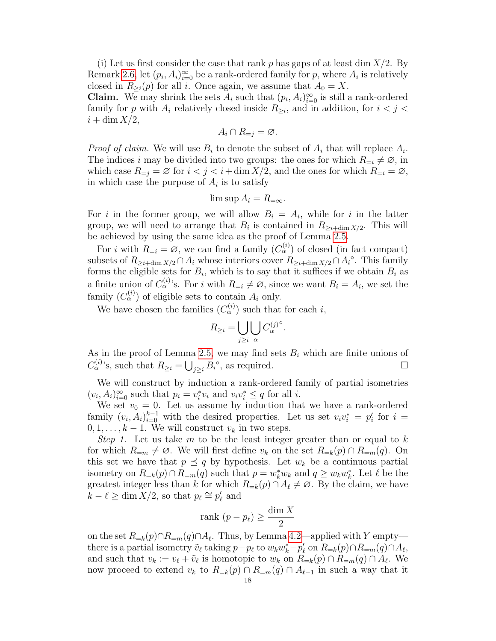(i) Let us first consider the case that rank p has gaps of at least dim  $X/2$ . By Remark [2.6,](#page-8-1) let  $(p_i, A_i)_{i=0}^{\infty}$  be a rank-ordered family for p, where  $A_i$  is relatively closed in  $R_{\geq i}(p)$  for all i. Once again, we assume that  $A_0 = X$ .

**Claim.** We may shrink the sets  $A_i$  such that  $(p_i, A_i)_{i=0}^{\infty}$  is still a rank-ordered family for p with  $A_i$  relatively closed inside  $R_{\geq i}$ , and in addition, for  $i < j <$  $i + \dim X/2$ ,

$$
A_i \cap R_{=j} = \varnothing.
$$

*Proof of claim.* We will use  $B_i$  to denote the subset of  $A_i$  that will replace  $A_i$ . The indices i may be divided into two groups: the ones for which  $R_{=i} \neq \emptyset$ , in which case  $R_{=j} = \emptyset$  for  $i < j < i + \dim X/2$ , and the ones for which  $R_{=i} = \emptyset$ , in which case the purpose of  $A_i$  is to satisfy

$$
\limsup A_i = R_{=\infty}.
$$

For i in the former group, we will allow  $B_i = A_i$ , while for i in the latter group, we will need to arrange that  $B_i$  is contained in  $R_{\geq i+\dim X/2}$ . This will be achieved by using the same idea as the proof of Lemma [2.5.](#page-7-2)

For *i* with  $R_{=i} = \emptyset$ , we can find a family  $(C_{\alpha}^{(i)})$  of closed (in fact compact) subsets of  $R_{\geq i+\dim X/2} \cap A_i$  whose interiors cover  $R_{\geq i+\dim X/2} \cap A_i^{\circ}$ . This family forms the eligible sets for  $B_i$ , which is to say that it suffices if we obtain  $B_i$  as a finite union of  $C_{\alpha}^{(i)}$ 's. For i with  $R_{=i} \neq \emptyset$ , since we want  $B_i = A_i$ , we set the family  $(C_{\alpha}^{(i)})$  of eligible sets to contain  $A_i$  only.

We have chosen the families  $(C_{\alpha}^{(i)})$  such that for each i,

$$
R_{\geq i} = \bigcup_{j \geq i} \bigcup_{\alpha} C_{\alpha}^{(j)^{\circ}}.
$$

As in the proof of Lemma [2.5,](#page-7-2) we may find sets  $B_i$  which are finite unions of  $C_{\alpha}^{(i)}$ 's, such that  $R_{\geq i} = \bigcup_{j\geq i} B_i^{\circ}$ , as required.

We will construct by induction a rank-ordered family of partial isometries  $(v_i, A_i)_{i=0}^{\infty}$  such that  $p_i = v_i^* v_i$  and  $v_i v_i^* \leq q$  for all i.

We set  $v_0 = 0$ . Let us assume by induction that we have a rank-ordered family  $(v_i, A_i)_{i=0}^{k-1}$  with the desired properties. Let us set  $v_i v_i^* = p_i'$  for  $i =$  $0, 1, \ldots, k-1$ . We will construct  $v_k$  in two steps.

Step 1. Let us take m to be the least integer greater than or equal to  $k$ for which  $R_{=m} \neq \emptyset$ . We will first define  $v_k$  on the set  $R_{=k}(p) \cap R_{=m}(q)$ . On this set we have that  $p \preceq q$  by hypothesis. Let  $w_k$  be a continuous partial isometry on  $R_{=k}(p) \cap R_{=m}(q)$  such that  $p = w_k^* w_k$  and  $q \geq w_k w_k^*$ . Let  $\ell$  be the greatest integer less than k for which  $R_{=k}(p) \cap A_\ell \neq \emptyset$ . By the claim, we have  $\widetilde{k} - \ell \ge \dim X/2$ , so that  $p_{\ell} \cong p'_{\ell}$  and

$$
rank (p - p_{\ell}) \ge \frac{\dim X}{2}
$$

on the set  $R_{=k}(p) \cap R_{=m}(q) \cap A_{\ell}$ . Thus, by Lemma [4.2—](#page-15-1)applied with Y empty there is a partial isometry  $\tilde{v}_\ell$  taking  $p - p_\ell$  to  $w_k w_k^* - p'_\ell$  on  $R_{=k}(p) \cap R_{=m}(q) \cap A_\ell$ , and such that  $v_k := v_\ell + \tilde{v}_\ell$  is homotopic to  $w_k$  on  $R_{=k}(p) \cap R_{=m}(q) \cap A_\ell$ . We now proceed to extend  $v_k$  to  $R_{=k}(p) \cap R_{=m}(q) \cap A_{\ell-1}$  in such a way that it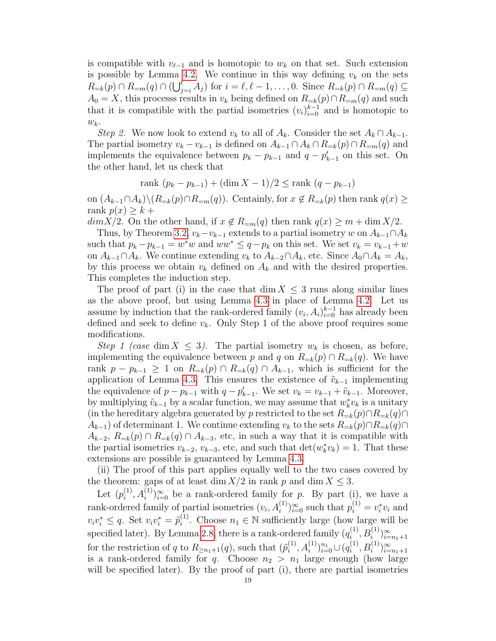is compatible with  $v_{\ell-1}$  and is homotopic to  $w_k$  on that set. Such extension is possible by Lemma [4.2.](#page-15-1) We continue in this way defining  $v_k$  on the sets  $R_{=k}(p) \cap R_{=m}(q) \cap (\bigcup_{j=i}^{\ell} A_j)$  for  $i = \ell, \ell - 1, \ldots, 0$ . Since  $R_{=k}(p) \cap R_{=m}(q) \subseteq$  $A_0 = X$ , this processs results in  $v_k$  being defined on  $R_{=k}(p) \cap R_{=m}(q)$  and such that it is compatible with the partial isometries  $(v_i)_{i=0}^{k-1}$  and is homotopic to  $w_k$ .

Step 2. We now look to extend  $v_k$  to all of  $A_k$ . Consider the set  $A_k \cap A_{k-1}$ . The partial isometry  $v_k - v_{k-1}$  is defined on  $A_{k-1} \cap A_k \cap R_{=k}(p) \cap R_{=m}(q)$  and implements the equivalence between  $p_k - p_{k-1}$  and  $q - p'_{k-1}$  on this set. On the other hand, let us check that

rank 
$$
(p_k - p_{k-1}) + (\dim X - 1)/2 \leq \text{rank } (q - p_{k-1})
$$

on  $(A_{k-1}\cap A_k)\backslash (R_{=k}(p)\cap R_{=m}(q))$ . Centainly, for  $x \notin R_{=k}(p)$  then rank  $q(x) \geq$ rank  $p(x) \geq k +$ 

 $dim X/2$ . On the other hand, if  $x \notin R_{=m}(q)$  then rank  $q(x) \geq m + \dim X/2$ .

Thus, by Theorem [3.2,](#page-11-0)  $v_k - v_{k-1}$  extends to a partial isometry w on  $A_{k-1} \cap A_k$ such that  $p_k - p_{k-1} = w^*w$  and  $ww^* \leq q - p_k$  on this set. We set  $v_k = v_{k-1} + w$ on  $A_{k-1}\cap A_k$ . We continue extending  $v_k$  to  $A_{k-2}\cap A_k$ , etc. Since  $A_0\cap A_k = A_k$ , by this process we obtain  $v_k$  defined on  $A_k$  and with the desired properties. This completes the induction step.

The proof of part (i) in the case that dim  $X \leq 3$  runs along similar lines as the above proof, but using Lemma [4.3](#page-16-1) in place of Lemma [4.2.](#page-15-1) Let us assume by induction that the rank-ordered family  $(v_i, A_i)_{i=0}^{k-1}$  has already been defined and seek to define  $v_k$ . Only Step 1 of the above proof requires some modifications.

Step 1 (case dim  $X \leq 3$ ). The partial isometry  $w_k$  is chosen, as before, implementing the equivalence between p and q on  $R_{=k}(p) \cap R_{=k}(q)$ . We have rank  $p - p_{k-1} \geq 1$  on  $R_{=k}(p) \cap R_{=k}(q) \cap A_{k-1}$ , which is sufficient for the application of Lemma [4.3.](#page-16-1) This ensures the existence of  $\tilde{v}_{k-1}$  implementing the equivalence of  $p - p_{k-1}$  with  $q - p'_{k-1}$ . We set  $v_k = v_{k-1} + \tilde{v}_{k-1}$ . Moreover, by multiplying  $\tilde{v}_{k-1}$  by a scalar function, we may assume that  $w_k^* v_k$  is a unitary (in the hereditary algebra generated by p restricted to the set  $R_{=k}(p) \cap R_{=k}(q) \cap$  $A_{k-1}$ ) of determinant 1. We continue extending  $v_k$  to the sets  $R_{=k}(p) \cap R_{=k}(q) \cap R_{=k}(q)$  $A_{k-2}, R_{=k}(p) \cap R_{=k}(q) \cap A_{k-3}$ , etc, in such a way that it is compatible with the partial isometries  $v_{k-2}$ ,  $v_{k-3}$ , etc, and such that  $\det(w_k^* v_k) = 1$ . That these extensions are possible is guaranteed by Lemma [4.3.](#page-16-1)

(ii) The proof of this part applies equally well to the two cases covered by the theorem: gaps of at least dim  $X/2$  in rank p and dim  $X \leq 3$ .

Let  $(p_i^{(1)}$  $\binom{(1)}{i}$ ,  $A_i^{(1)}$ ) $\approx_{0}^{\infty}$  be a rank-ordered family for p. By part (i), we have a rank-ordered family of partial isometries  $(v_i, A_i^{(1)})_{i=0}^{\infty}$  such that  $p_i^{(1)} = v_i^* v_i$  and  $v_i v_i^* \leq q$ . Set  $v_i v_i^* = \tilde{p}_i^{(1)}$ <sup>(1)</sup>. Choose  $n_1 \in \mathbb{N}$  sufficiently large (how large will be specified later). By Lemma [2.8,](#page-9-1) there is a rank-ordered family  $(q_i^{(1)})$  $B_i^{(1)}, B_i^{(1)}\big)_{i=n_1+1}^{\infty}$ for the restriction of q to  $R_{\geq n_1+1}(q)$ , such that  $(\tilde{p}_i^{(1)})$  $\{a_i^{(1)}, A_i^{(1)}\}_{i=0}^{n_1} \cup (q_i^{(1)})$ for the restriction of q to  $R_{\geq n_1+1}(q)$ , such that  $(\tilde{p}_i^{(1)}, A_i^{(1)})_{i=0}^n \cup (q_i^{(1)}, B_i^{(1)})_{i=n_1+1}^{\infty}$ <br>is a rank-ordered family for q. Choose  $n_2 > n_1$  large enough (how large will be specified later). By the proof of part (i), there are partial isometries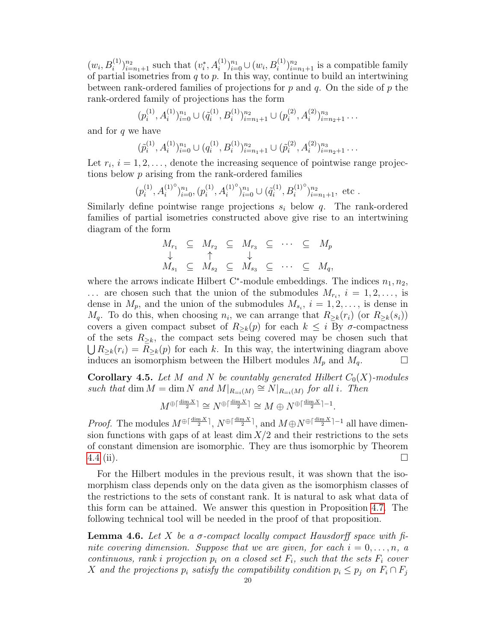$(w_i, B_i^{(1)})_{i=n_1+1}^{n_2}$  such that  $(v_i^*, A_i^{(1)})_{i=0}^{n_1} \cup (w_i, B_i^{(1)})_{i=n_1+1}^{n_2}$  is a compatible family of partial isometries from  $q$  to  $p$ . In this way, continue to build an intertwining between rank-ordered families of projections for p and q. On the side of p the rank-ordered family of projections has the form

$$
(p_i^{(1)}, A_i^{(1)})_{i=0}^{n_1} \cup (\tilde{q}_i^{(1)}, B_i^{(1)})_{i=n_1+1}^{n_2} \cup (p_i^{(2)}, A_i^{(2)})_{i=n_2+1}^{n_3} \dots
$$

and for  $q$  we have

$$
(\tilde{p}_i^{(1)}, A_i^{(1)})_{i=0}^{n_1} \cup (q_i^{(1)}, B_i^{(1)})_{i=n_1+1}^{n_2} \cup (\tilde{p}_i^{(2)}, A_i^{(2)})_{i=n_2+1}^{n_3} \dots
$$

Let  $r_i$ ,  $i = 1, 2, \ldots$ , denote the increasing sequence of pointwise range projections below p arising from the rank-ordered families

$$
(p_i^{(1)}, A_i^{(1)^\circ})_{i=0}^{n_1}, (p_i^{(1)}, A_i^{(1)^\circ})_{i=0}^{n_1} \cup (\tilde{q}_i^{(1)}, B_i^{(1)^\circ})_{i=n_1+1}^{n_2}, \text{ etc.}
$$

Similarly define pointwise range projections  $s_i$  below q. The rank-ordered families of partial isometries constructed above give rise to an intertwining diagram of the form

$$
M_{r_1} \subseteq M_{r_2} \subseteq M_{r_3} \subseteq \cdots \subseteq M_p
$$
  
\n
$$
\downarrow \qquad \uparrow \qquad \downarrow
$$
  
\n
$$
M_{s_1} \subseteq M_{s_2} \subseteq M_{s_3} \subseteq \cdots \subseteq M_q,
$$

where the arrows indicate Hilbert C<sup>\*</sup>-module embeddings. The indices  $n_1, n_2$ ,  $\ldots$  are chosen such that the union of the submodules  $M_{r_i}$ ,  $i = 1, 2, \ldots$ , is dense in  $M_p$ , and the union of the submodules  $M_{s_i}$ ,  $i = 1, 2, \ldots$ , is dense in  $M_q$ . To do this, when choosing  $n_i$ , we can arrange that  $R_{\geq k}(r_i)$  (or  $R_{\geq k}(s_i)$ ) covers a given compact subset of  $R_{\geq k}(p)$  for each  $k \leq i$  By  $\sigma$ -compactness of the sets  $R_{\geq k}$ , the compact sets being covered may be chosen such that  $\bigcup R_{\geq k}(r_i) = R_{\geq k}(p)$  for each k. In this way, the intertwining diagram above induces an isomorphism between the Hilbert modules  $M_p$  and  $M_q$ .

**Corollary 4.5.** Let M and N be countably generated Hilbert  $C_0(X)$ -modules such that dim  $M = \dim N$  and  $M|_{R=i(M)} \cong N|_{R=i(M)}$  for all i. Then

$$
M^{\oplus \lceil \frac{\dim X}{2} \rceil} \cong N^{\oplus \lceil \frac{\dim X}{2} \rceil} \cong M \oplus N^{\oplus \lceil \frac{\dim X}{2} \rceil - 1}.
$$

*Proof.* The modules  $M^{\oplus \lceil \frac{\dim X}{2} \rceil}$ ,  $N^{\oplus \lceil \frac{\dim X}{2} \rceil}$ , and  $M \oplus N^{\oplus \lceil \frac{\dim X}{2} \rceil - 1}$  all have dimension functions with gaps of at least  $\dim X/2$  and their restrictions to the sets of constant dimension are isomorphic. They are thus isomorphic by Theorem  $4.4 \text{ (ii)}$  $4.4 \text{ (ii)}$ .

For the Hilbert modules in the previous result, it was shown that the isomorphism class depends only on the data given as the isomorphism classes of the restrictions to the sets of constant rank. It is natural to ask what data of this form can be attained. We answer this question in Proposition [4.7.](#page-20-0) The following technical tool will be needed in the proof of that proposition.

<span id="page-19-0"></span>**Lemma 4.6.** Let X be a  $\sigma$ -compact locally compact Hausdorff space with finite covering dimension. Suppose that we are given, for each  $i = 0, \ldots, n$ , a continuous, rank i projection  $p_i$  on a closed set  $F_i$ , such that the sets  $F_i$  cover X and the projections  $p_i$  satisfy the compatibility condition  $p_i \leq p_j$  on  $F_i \cap F_j$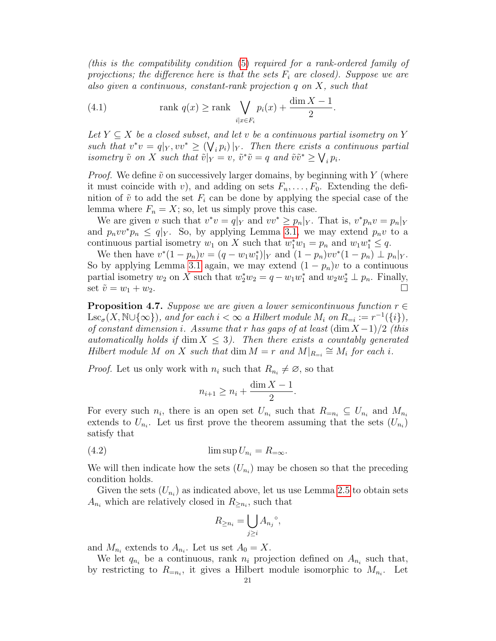(this is the compatibility condition [\(5\)](#page-5-2) required for a rank-ordered family of projections; the difference here is that the sets  $F_i$  are closed). Suppose we are also given a continuous, constant-rank projection q on X, such that

(4.1) 
$$
\operatorname{rank} q(x) \ge \operatorname{rank} \bigvee_{i|x \in F_i} p_i(x) + \frac{\dim X - 1}{2}.
$$

Let  $Y \subseteq X$  be a closed subset, and let v be a continuous partial isometry on Y such that  $v^*v = q|_Y, vv^* \geq (\bigvee_i p_i)|_Y$ . Then there exists a continuous partial isometry  $\tilde{v}$  on X such that  $\tilde{v}|_Y = v$ ,  $\tilde{v}^* \tilde{v} = q$  and  $\tilde{v} \tilde{v}^* \geq \bigvee_i p_i$ .

*Proof.* We define  $\tilde{v}$  on successively larger domains, by beginning with Y (where it must coincide with v), and adding on sets  $F_n, \ldots, F_0$ . Extending the definition of  $\tilde{v}$  to add the set  $F_i$  can be done by applying the special case of the lemma where  $F_n = X$ ; so, let us simply prove this case.

We are given v such that  $v^*v = q|_Y$  and  $vv^* \geq p_n|_Y$ . That is,  $v^*p_nv = p_n|_Y$ and  $p_n v v^* p_n \leq q |_{Y}$ . So, by applying Lemma [3.1,](#page-10-1) we may extend  $p_n v$  to a continuous partial isometry  $w_1$  on X such that  $w_1^*w_1 = p_n$  and  $w_1w_1^* \leq q$ .

We then have  $v^*(1 - p_n)v = (q - w_1w_1^*)|_Y$  and  $(1 - p_n)v v^*(1 - p_n) \perp p_n|_Y$ . So by applying Lemma [3.1](#page-10-1) again, we may extend  $(1 - p_n)v$  to a continuous partial isometry  $w_2$  on X such that  $w_2^* w_2 = q - w_1 w_1^*$  and  $w_2 w_2^* \perp p_n$ . Finally, set  $\tilde{v} = w_1 + w_2$ .

<span id="page-20-0"></span>**Proposition 4.7.** Suppose we are given a lower semicontinuous function  $r \in$  $\text{Lsc}_{\sigma}(X, \mathbb{N}\cup\{\infty\}),$  and for each  $i < \infty$  a Hilbert module  $M_i$  on  $R_{=i} := r^{-1}(\{i\}),$ of constant dimension i. Assume that r has gaps of at least  $(\dim X - 1)/2$  (this automatically holds if  $\dim X \leq 3$ . Then there exists a countably generated Hilbert module M on X such that dim  $M = r$  and  $M|_{R_{=i}} \cong M_i$  for each i.

*Proof.* Let us only work with  $n_i$  such that  $R_{n_i} \neq \emptyset$ , so that

$$
n_{i+1} \ge n_i + \frac{\dim X - 1}{2}.
$$

For every such  $n_i$ , there is an open set  $U_{n_i}$  such that  $R_{=n_i} \subseteq U_{n_i}$  and  $M_{n_i}$ extends to  $U_{n_i}$ . Let us first prove the theorem assuming that the sets  $(U_{n_i})$ satisfy that

<span id="page-20-1"></span>(4.2) lim sup U<sup>n</sup><sup>i</sup> = R=<sup>∞</sup>.

We will then indicate how the sets  $(U_{n_i})$  may be chosen so that the preceding condition holds.

Given the sets  $(U_{n_i})$  as indicated above, let us use Lemma [2.5](#page-7-2) to obtain sets  $A_{n_i}$  which are relatively closed in  $R_{\geq n_i}$ , such that

$$
R_{\geq n_i} = \bigcup_{j \geq i} A_{n_j}^{\circ},
$$

and  $M_{n_i}$  extends to  $A_{n_i}$ . Let us set  $A_0 = X$ .

We let  $q_{n_i}$  be a continuous, rank  $n_i$  projection defined on  $A_{n_i}$  such that, by restricting to  $R_{=n_i}$ , it gives a Hilbert module isomorphic to  $M_{n_i}$ . Let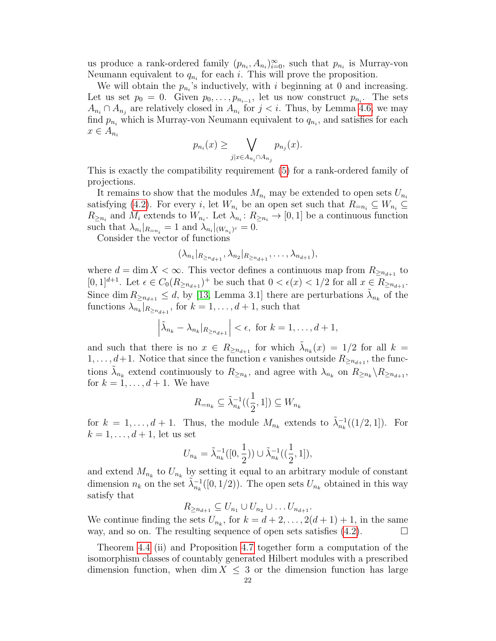us produce a rank-ordered family  $(p_{n_i}, A_{n_i})_{i=0}^{\infty}$ , such that  $p_{n_i}$  is Murray-von Neumann equivalent to  $q_{n_i}$  for each i. This will prove the proposition.

We will obtain the  $p_{n_i}$ 's inductively, with i beginning at 0 and increasing. Let us set  $p_0 = 0$ . Given  $p_0, \ldots, p_{n_{i-1}}$ , let us now construct  $p_{n_i}$ . The sets  $A_{n_i} \cap A_{n_j}$  are relatively closed in  $A_{n_i}$  for  $j < i$ . Thus, by Lemma [4.6,](#page-19-0) we may find  $p_{n_i}$  which is Murray-von Neumann equivalent to  $q_{n_i}$ , and satisfies for each  $x \in A_{n_i}$ 

$$
p_{n_i}(x) \ge \bigvee_{j|x \in A_{n_i} \cap A_{n_j}} p_{n_j}(x).
$$

This is exactly the compatibility requirement [\(5\)](#page-5-2) for a rank-ordered family of projections.

It remains to show that the modules  $M_{n_i}$  may be extended to open sets  $U_{n_i}$ satisfying [\(4.2\)](#page-20-1). For every i, let  $W_{n_i}$  be an open set such that  $R_{=n_i} \subseteq W_{n_i} \subseteq$  $R_{\geq n_i}$  and  $M_i$  extends to  $W_{n_i}$ . Let  $\lambda_{n_i}: R_{\geq n_i} \to [0,1]$  be a continuous function such that  $\lambda_{n_i}|_{R=n_i} = 1$  and  $\lambda_{n_i}|_{(W_{n_i})^c} = 0$ .

Consider the vector of functions

$$
(\lambda_{n_1}|_{R_{\geq n_{d+1}}}, \lambda_{n_2}|_{R_{\geq n_{d+1}}}, \ldots, \lambda_{n_{d+1}}),
$$

where  $d = \dim X < \infty$ . This vector defines a continuous map from  $R_{\geq n_{d+1}}$  to  $[0,1]^{d+1}$ . Let  $\epsilon \in C_0(R_{\ge n_{d+1}})^+$  be such that  $0 < \epsilon(x) < 1/2$  for all  $x \in R_{\ge n_{d+1}}$ . Since dim  $R_{\ge n_{d+1}} \le d$ , by [\[13,](#page-31-7) Lemma 3.1] there are perturbations  $\tilde{\lambda}_{n_k}$  of the functions  $\lambda_{n_k}|_{R_{\geq n_{d+1}}}$ , for  $k = 1, \ldots, d+1$ , such that

$$
\left|\tilde{\lambda}_{n_k}-\lambda_{n_k}|_{R_{\geq n_{d+1}}}\right|<\epsilon,\ \text{for}\ k=1,\ldots,d+1,
$$

and such that there is no  $x \in R_{\geq n_{d+1}}$  for which  $\tilde{\lambda}_{n_k}(x) = 1/2$  for all  $k =$  $1, \ldots, d+1$ . Notice that since the function  $\epsilon$  vanishes outside  $R_{\geq n_{d+1}}$ , the functions  $\tilde{\lambda}_{n_k}$  extend continuously to  $R_{\geq n_k}$ , and agree with  $\lambda_{n_k}$  on  $R_{\geq n_k} \backslash R_{\geq n_{d+1}}$ , for  $k = 1, \ldots, d + 1$ . We have

$$
R_{=n_k} \subseteq \tilde{\lambda}_{n_k}^{-1}((\frac{1}{2}, 1]) \subseteq W_{n_k}
$$

for  $k = 1, ..., d + 1$ . Thus, the module  $M_{n_k}$  extends to  $\tilde{\lambda}_{n_k}^{-1}((1/2, 1])$ . For  $k = 1, \ldots, d + 1$ , let us set

$$
U_{n_k} = \tilde{\lambda}_{n_k}^{-1}([0, \frac{1}{2})) \cup \tilde{\lambda}_{n_k}^{-1}((\frac{1}{2}, 1]),
$$

and extend  $M_{n_k}$  to  $U_{n_k}$  by setting it equal to an arbitrary module of constant dimension  $n_k$  on the set  $\tilde{\lambda}_{n_k}^{-1}([0,1/2))$ . The open sets  $U_{n_k}$  obtained in this way satisfy that

 $R_{\geq n_{d+1}} \subseteq U_{n_1} \cup U_{n_2} \cup \ldots U_{n_{d+1}}.$ 

We continue finding the sets  $U_{n_k}$ , for  $k = d + 2, \ldots, 2(d+1) + 1$ , in the same way, and so on. The resulting sequence of open sets satisfies  $(4.2)$ .

Theorem [4.4](#page-16-0) (ii) and Proposition [4.7](#page-20-0) together form a computation of the isomorphism classes of countably generated Hilbert modules with a prescribed dimension function, when dim  $X \leq 3$  or the dimension function has large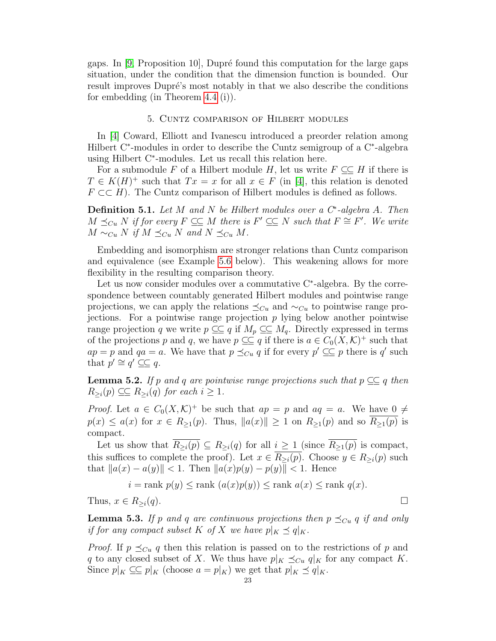gaps. In  $[9,$  Proposition 10, Dupré found this computation for the large gaps situation, under the condition that the dimension function is bounded. Our result improves Dupré's most notably in that we also describe the conditions for embedding (in Theorem [4.4](#page-16-0) (i)).

## 5. Cuntz comparison of Hilbert modules

<span id="page-22-0"></span>In [\[4\]](#page-31-0) Coward, Elliott and Ivanescu introduced a preorder relation among Hilbert C<sup>∗</sup> -modules in order to describe the Cuntz semigroup of a C<sup>∗</sup> -algebra using Hilbert C<sup>∗</sup> -modules. Let us recall this relation here.

For a submodule F of a Hilbert module H, let us write  $F \subset\subset H$  if there is  $T \in K(H)^+$  such that  $Tx = x$  for all  $x \in F$  (in [\[4\]](#page-31-0), this relation is denoted  $F \subset H$ ). The Cuntz comparison of Hilbert modules is defined as follows.

**Definition 5.1.** Let M and N be Hilbert modules over a  $C^*$ -algebra A. Then  $M \preceq_{Cu} N$  if for every  $F \subseteq\subseteq M$  there is  $F' \subseteq\subseteq N$  such that  $F \cong F'$ . We write  $M \sim_{Cu} N$  if  $M \preceq_{Cu} N$  and  $N \preceq_{Cu} M$ .

Embedding and isomorphism are stronger relations than Cuntz comparison and equivalence (see Example [5.6](#page-23-0) below). This weakening allows for more flexibility in the resulting comparison theory.

Let us now consider modules over a commutative C<sup>∗</sup> -algebra. By the correspondence between countably generated Hilbert modules and pointwise range projections, we can apply the relations  $\preceq_{Cu}$  and  $\sim_{Cu}$  to pointwise range projections. For a pointwise range projection  $p$  lying below another pointwise range projection q we write  $p \subseteq q$  if  $M_p \subseteq M_q$ . Directly expressed in terms of the projections p and q, we have  $p \subseteq q$  if there is  $a \in C_0(X, \mathcal{K})^+$  such that  $ap = p$  and  $qa = a$ . We have that  $p \preceq_{Cu} q$  if for every  $p' \subseteq p$  there is q' such that  $p' \cong q' \subseteq q$ .

<span id="page-22-2"></span>**Lemma 5.2.** If p and q are pointwise range projections such that  $p \subseteq q$  then  $R_{\geq i}(p) \subseteq R_{\geq i}(q)$  for each  $i \geq 1$ .

*Proof.* Let  $a \in C_0(X,\mathcal{K})^+$  be such that  $ap = p$  and  $aq = a$ . We have  $0 \neq$  $p(x) \le a(x)$  for  $x \in R_{\ge 1}(p)$ . Thus,  $||a(x)|| \ge 1$  on  $R_{\ge 1}(p)$  and so  $R_{\ge 1}(p)$  is compact.

Let us show that  $R_{\geq i}(p) \subseteq R_{\geq i}(q)$  for all  $i \geq 1$  (since  $R_{\geq 1}(p)$  is compact, this suffices to complete the proof). Let  $x \in \overline{R_{\geq i}(p)}$ . Choose  $y \in R_{\geq i}(p)$  such that  $||a(x) - a(y)|| < 1$ . Then  $||a(x)p(y) - p(y)|| < 1$ . Hence

$$
i = \text{rank } p(y) \leq \text{rank } (a(x)p(y)) \leq \text{rank } a(x) \leq \text{rank } q(x).
$$

Thus,  $x \in R_{\geq i}(q)$ .

<span id="page-22-1"></span>**Lemma 5.3.** If p and q are continuous projections then  $p \preceq_{Cu} q$  if and only if for any compact subset K of X we have  $p|_K \preceq q|_K$ .

*Proof.* If  $p \leq_{Cu} q$  then this relation is passed on to the restrictions of p and q to any closed subset of X. We thus have  $p|_K \preceq_{Cu} q|_K$  for any compact K. Since  $p|_K \subseteq p|_K$  (choose  $a = p|_K$ ) we get that  $p|_K \preceq q|_K$ .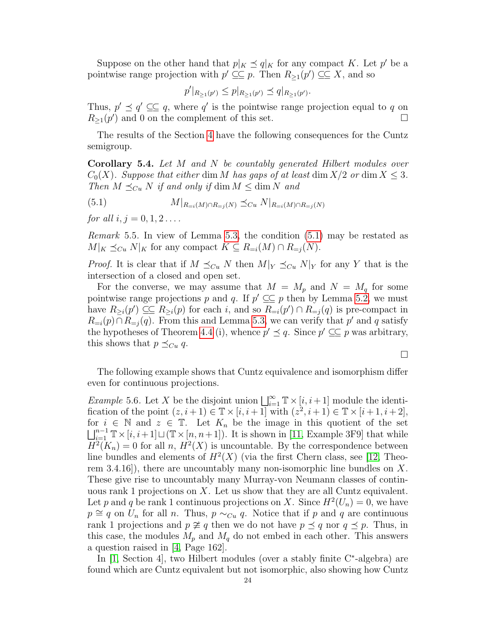Suppose on the other hand that  $p|_K \preceq q|_K$  for any compact K. Let  $p'$  be a pointwise range projection with  $p' \subseteq p$ . Then  $R_{\geq 1}(p') \subseteq X$ , and so

$$
p'|_{R_{\geq 1}(p')} \leq p|_{R_{\geq 1}(p')} \preceq q|_{R_{\geq 1}(p')}.
$$

Thus,  $p' \preceq q' \subseteq \subseteq q$ , where q' is the pointwise range projection equal to q on  $R_{\geq 1}(p')$  and 0 on the complement of this set.

The results of the Section [4](#page-15-0) have the following consequences for the Cuntz semigroup.

<span id="page-23-2"></span>Corollary 5.4. Let M and N be countably generated Hilbert modules over  $C_0(X)$ . Suppose that either dim M has gaps of at least dim  $X/2$  or dim  $X \leq 3$ . Then  $M \preceq_{Cu} N$  if and only if dim  $M \leq \dim N$  and

<span id="page-23-1"></span>(5.1) 
$$
M|_{R_{=i}(M)\cap R_{=j}(N)} \preceq_{Cu} N|_{R_{=i}(M)\cap R_{=j}(N)}
$$

for all  $i, j = 0, 1, 2...$ 

Remark 5.5. In view of Lemma [5.3,](#page-22-1) the condition [\(5.1\)](#page-23-1) may be restated as  $M|_K \preceq_{Cu} N|_K$  for any compact  $K \subseteq R_{=i}(M) \cap R_{=i}(N)$ .

*Proof.* It is clear that if  $M \preceq_{Cu} N$  then  $M|_Y \preceq_{Cu} N|_Y$  for any Y that is the intersection of a closed and open set.

For the converse, we may assume that  $M = M_p$  and  $N = M_q$  for some pointwise range projections p and q. If  $p' \subseteq \subseteq p$  then by Lemma [5.2,](#page-22-2) we must have  $R_{\geq i}(p') \subseteq R_{\geq i}(p)$  for each i, and so  $R_{=i}(p') \cap R_{=j}(q)$  is pre-compact in  $R_{=i}(p) \cap R_{=j}(q)$ . From this and Lemma [5.3,](#page-22-1) we can verify that p' and q satisfy the hypotheses of Theorem [4.4](#page-16-0) (i), whence  $p' \preceq q$ . Since  $p' \subseteq \subseteq p$  was arbitrary, this shows that  $p \preceq_{Cu} q$ .

 $\Box$ 

The following example shows that Cuntz equivalence and isomorphism differ even for continuous projections.

<span id="page-23-0"></span>Example 5.6. Let X be the disjoint union  $\bigsqcup_{i=1}^{\infty} \mathbb{T} \times [i, i+1]$  module the identification of the point  $(z, i+1) \in \mathbb{T} \times [i, i+1]$  with  $(z^2, i+1) \in \mathbb{T} \times [i+1, i+2]$ , for  $i \in \mathbb{N}$  and  $z \in \mathbb{T}$ . Let  $K_n$  be the image in this quotient of the set  $\bigsqcup_{i=1}^{n-1} \mathbb{T} \times [i, i+1] \sqcup (\mathbb{T} \times [n, n+1])$ . It is shown in [\[11,](#page-31-8) Example 3F9] that while  $H^2(K_n) = 0$  for all n,  $H^2(X)$  is uncountable. By the correspondence between line bundles and elements of  $H^2(X)$  (via the first Chern class, see [\[12,](#page-31-9) Theorem 3.4.16), there are uncountably many non-isomorphic line bundles on X. These give rise to uncountably many Murray-von Neumann classes of continuous rank 1 projections on  $X$ . Let us show that they are all Cuntz equivalent. Let p and q be rank 1 continuous projections on X. Since  $H^2(U_n) = 0$ , we have  $p \cong q$  on  $U_n$  for all n. Thus,  $p \sim_{Cu} q$ . Notice that if p and q are continuous rank 1 projections and  $p \not\cong q$  then we do not have  $p \preceq q$  nor  $q \preceq p$ . Thus, in this case, the modules  $M_p$  and  $M_q$  do not embed in each other. This answers a question raised in [\[4,](#page-31-0) Page 162].

In [\[1,](#page-31-10) Section 4], two Hilbert modules (over a stably finite C<sup>∗</sup> -algebra) are found which are Cuntz equivalent but not isomorphic, also showing how Cuntz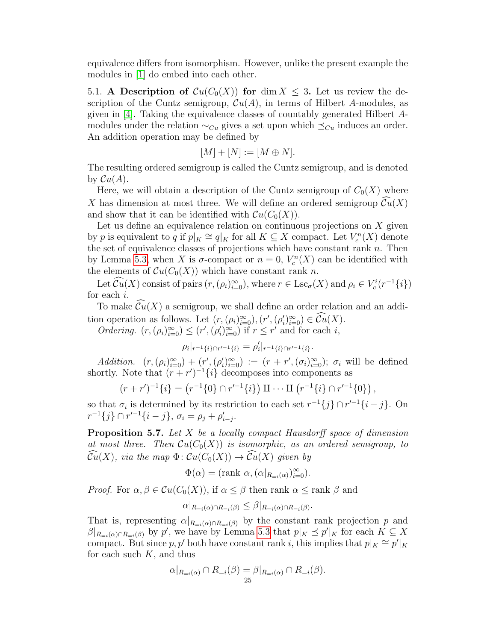equivalence differs from isomorphism. However, unlike the present example the modules in [\[1\]](#page-31-10) do embed into each other.

5.1. A Description of  $Cu(C_0(X))$  for dim  $X \leq 3$ . Let us review the description of the Cuntz semigroup,  $\mathcal{C}u(A)$ , in terms of Hilbert A-modules, as given in [\[4\]](#page-31-0). Taking the equivalence classes of countably generated Hilbert Amodules under the relation  $\sim_{Cu}$  gives a set upon which  $\preceq_{Cu}$  induces an order. An addition operation may be defined by

$$
[M] + [N] := [M \oplus N].
$$

The resulting ordered semigroup is called the Cuntz semigroup, and is denoted by  $\mathcal{C}u(A)$ .

Here, we will obtain a description of the Cuntz semigroup of  $C_0(X)$  where X has dimension at most three. We will define an ordered semigroup  $\mathcal{C}u(X)$ and show that it can be identified with  $Cu(C_0(X))$ .

Let us define an equivalence relation on continuous projections on  $X$  given by p is equivalent to q if  $p|_K \cong q|_K$  for all  $K \subseteq X$  compact. Let  $V_c^n(X)$  denote the set of equivalence classes of projections which have constant rank  $n$ . Then by Lemma [5.3,](#page-22-1) when X is  $\sigma$ -compact or  $n = 0$ ,  $V_c^n(X)$  can be identified with the elements of  $Cu(C_0(X))$  which have constant rank n.

Let  $\mathcal{C}u(X)$  consist of pairs  $(r,(\rho_i)_{i=0}^{\infty})$ , where  $r \in \text{Lsc}_{\sigma}(X)$  and  $\rho_i \in V_c^i(r^{-1}{i})$ for each i.

To make  $\mathcal{C}u(X)$  a semigroup, we shall define an order relation and an addition operation as follows. Let  $(r, (\rho_i)_{i=0}^{\infty}), (r', (\rho_i')_{i=0}^{\infty}) \in \mathcal{C}u(X)$ .

*Ordering.*  $(r, (\rho_i)_{i=0}^{\infty}) \le (r', (\rho_i')_{i=0}^{\infty})$  if  $r \le r'$  and for each *i*,

$$
\rho_i|_{r^{-1}\{i\}\cap r'^{-1}\{i\}} = \rho'_i|_{r^{-1}\{i\}\cap r'^{-1}\{i\}}.
$$

Addition.  $(r,(\rho_i)_{i=0}^{\infty}) + (r',(\rho_i')_{i=0}^{\infty}) := (r + r',(\sigma_i)_{i=0}^{\infty}); \sigma_i$  will be defined shortly. Note that  $(r + r')^{-1}\{i\}$  decomposes into components as

$$
(r+r')^{-1}{i} = (r^{-1}{0} \cap r'^{-1}{i}) \amalg \cdots \amalg (r^{-1}{i} \cap r'^{-1}{0}),
$$

so that  $\sigma_i$  is determined by its restriction to each set  $r^{-1}{j} \cap r'^{-1}{i - j}$ . On  $r^{-1}{j} \cap r'^{-1}{i-j}, \sigma_i = \rho_j + \rho'_{i-j}.$ 

**Proposition 5.7.** Let  $X$  be a locally compact Hausdorff space of dimension at most three. Then  $Cu(C_0(X))$  is isomorphic, as an ordered semigroup, to  $\widehat{Cu}(X)$ , via the map  $\Phi: Cu(C_0(X)) \to \widehat{Cu}(X)$  given by

$$
\Phi(\alpha) = (\text{rank } \alpha, (\alpha|_{R_{=i}(\alpha)})_{i=0}^{\infty}).
$$

*Proof.* For  $\alpha, \beta \in Cu(C_0(X))$ , if  $\alpha \leq \beta$  then rank  $\alpha \leq \text{rank } \beta$  and

$$
\alpha|_{R_{=i}(\alpha) \cap R_{=i}(\beta)} \leq \beta|_{R_{=i}(\alpha) \cap R_{=i}(\beta)}.
$$

That is, representing  $\alpha|_{R=i(\alpha)\cap R=i(\beta)}$  by the constant rank projection p and  $\beta|_{R_{i}(\alpha)\cap R_{=i}(\beta)}$  by p', we have by Lemma [5.3](#page-22-1) that  $p|_K \preceq p'|_K$  for each  $K \subseteq X$ compact. But since p, p' both have constant rank i, this implies that  $p|_K \cong p'|_K$ for each such  $K$ , and thus

$$
\alpha|_{R_{=i}(\alpha)} \cap R_{=i}(\beta) = \beta|_{R_{=i}(\alpha)} \cap R_{=i}(\beta).
$$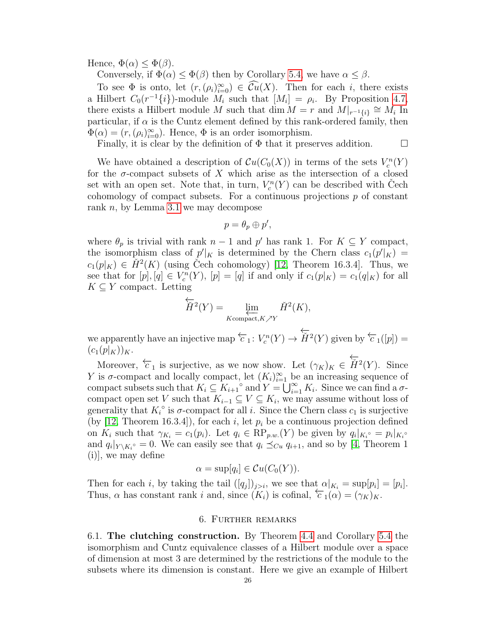Hence,  $\Phi(\alpha) \leq \Phi(\beta)$ .

Conversely, if  $\Phi(\alpha) \leq \Phi(\beta)$  then by Corollary [5.4,](#page-23-2) we have  $\alpha \leq \beta$ .

To see  $\Phi$  is onto, let  $(r,(\rho_i)_{i=0}^{\infty}) \in \widetilde{Cu}(X)$ . Then for each i, there exists a Hilbert  $C_0(r^{-1}{i})$ -module  $M_i$  such that  $[M_i] = \rho_i$ . By Proposition [4.7,](#page-20-0) there exists a Hilbert module M such that  $\dim M = r$  and  $M|_{r^{-1}{\{i\}}}\cong M_i$  In particular, if  $\alpha$  is the Cuntz element defined by this rank-ordered family, then  $\Phi(\alpha) = (r, (\rho_i)_{i=0}^{\infty})$ . Hence,  $\Phi$  is an order isomorphism.

Finally, it is clear by the definition of  $\Phi$  that it preserves addition.  $\Box$ 

We have obtained a description of  $\mathcal{C}u(C_0(X))$  in terms of the sets  $V_c^n(Y)$ for the  $\sigma$ -compact subsets of X which arise as the intersection of a closed set with an open set. Note that, in turn,  $V_c^n(Y)$  can be described with Čech cohomology of compact subsets. For a continuous projections  $p$  of constant rank  $n$ , by Lemma [3.1](#page-10-1) we may decompose

$$
p=\theta_p\oplus p',
$$

where  $\theta_p$  is trivial with rank  $n-1$  and  $p'$  has rank 1. For  $K \subseteq Y$  compact, the isomorphism class of  $p'|_K$  is determined by the Chern class  $c_1(p'|_K)$  =  $c_1(p|_K) \in \check{H}^2(K)$  (using Cech cohomology) [\[12,](#page-31-9) Theorem 16.3.4]. Thus, we see that for  $[p], [q] \in V_c^n(Y)$ ,  $[p] = [q]$  if and only if  $c_1(p|_K) = c_1(q|_K)$  for all  $K \subseteq Y$  compact. Letting

$$
\overleftarrow{H}^{2}(Y) = \lim_{\substack{\longleftarrow \\ K \text{compact}, K \nearrow Y}} \check{H}^{2}(K),
$$

we apparently have an injective map  $\overleftarrow{c}_1: V_c^n(Y) \to$  $\overleftarrow{H}^2(Y)$  given by  $\overleftarrow{c}_1([p]) =$  $(c_1(p|_K))_K$ .

Moreover,  $\overleftarrow{c}_1$  is surjective, as we now show. Let  $(\gamma_K)_K \in \overleftrightarrow{H}^2(Y)$ . Since Y is  $\sigma$ -compact and locally compact, let  $(K_i)_{i=1}^{\infty}$  be an increasing sequence of compact subsets such that  $K_i \subseteq K_{i+1}$ <sup>o</sup> and  $Y = \bigcup_{i=1}^{\infty} K_i$ . Since we can find a  $\sigma$ compact open set V such that  $K_{i-1} \subseteq V \subseteq K_i$ , we may assume without loss of generality that  $K_i^{\circ}$  is  $\sigma$ -compact for all *i*. Since the Chern class  $c_1$  is surjective (by [\[12,](#page-31-9) Theorem 16.3.4]), for each i, let  $p_i$  be a continuous projection defined on  $K_i$  such that  $\gamma_{K_i} = c_1(p_i)$ . Let  $q_i \in \mathbb{RP}_{p,w}(Y)$  be given by  $q_i|_{K_i} = p_i|_{K_i}$ and  $q_i|_{Y \setminus K_i^{\circ}} = 0$ . We can easily see that  $q_i \preceq_{Cu} q_{i+1}$ , and so by [\[4,](#page-31-0) Theorem 1 (i)], we may define

$$
\alpha = \sup[q_i] \in Cu(C_0(Y)).
$$

Then for each *i*, by taking the tail  $([q_j])_{j>i}$ , we see that  $\alpha|_{K_i} = \sup[p_i] = [p_i]$ . Thus,  $\alpha$  has constant rank i and, since  $(K_i)$  is cofinal,  $\overleftarrow{c}_1(\alpha) = (\gamma_K)_K$ .

#### 6. Further remarks

<span id="page-25-1"></span><span id="page-25-0"></span>6.1. The clutching construction. By Theorem [4.4](#page-16-0) and Corollary [5.4](#page-23-2) the isomorphism and Cuntz equivalence classes of a Hilbert module over a space of dimension at most 3 are determined by the restrictions of the module to the subsets where its dimension is constant. Here we give an example of Hilbert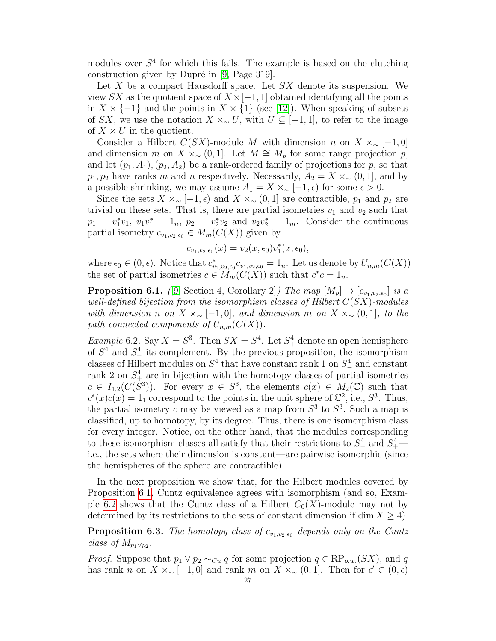modules over  $S<sup>4</sup>$  for which this fails. The example is based on the clutching construction given by Dupré in  $[9, \text{Page } 319]$  $[9, \text{Page } 319]$ .

Let X be a compact Hausdorff space. Let  $SX$  denote its suspension. We view SX as the quotient space of  $X \times [-1, 1]$  obtained identifying all the points in  $X \times \{-1\}$  and the points in  $X \times \{1\}$  (see [\[12\]](#page-31-9)). When speaking of subsets of SX, we use the notation  $X \times \sim U$ , with  $U \subseteq [-1,1]$ , to refer to the image of  $X \times U$  in the quotient.

Consider a Hilbert  $C(SX)$ -module M with dimension n on  $X \times \sim [-1,0]$ and dimension m on  $X \times \sim (0, 1]$ . Let  $M \cong M_p$  for some range projection p, and let  $(p_1, A_1), (p_2, A_2)$  be a rank-ordered family of projections for p, so that  $p_1, p_2$  have ranks m and n respectively. Necessarily,  $A_2 = X \times \sim (0, 1]$ , and by a possible shrinking, we may assume  $A_1 = X \times_{\sim} [-1, \epsilon)$  for some  $\epsilon > 0$ .

Since the sets  $X \times \sim [-1, \epsilon)$  and  $X \times \sim (0, 1]$  are contractible,  $p_1$  and  $p_2$  are trivial on these sets. That is, there are partial isometries  $v_1$  and  $v_2$  such that  $p_1 = v_1^* v_1, v_1 v_1^* = 1_n, p_2 = v_2^* v_2$  and  $v_2 v_2^* = 1_m$ . Consider the continuous partial isometry  $c_{v_1,v_2,\epsilon_0} \in M_m(C(X))$  given by

$$
c_{v_1,v_2,\epsilon_0}(x) = v_2(x,\epsilon_0)v_1^*(x,\epsilon_0),
$$

where  $\epsilon_0 \in (0, \epsilon)$ . Notice that  $c^*_{v_1, v_2, \epsilon_0} c_{v_1, v_2, \epsilon_0} = 1_n$ . Let us denote by  $U_{n,m}(C(X))$ the set of partial isometries  $c \in M_m(C(X))$  such that  $c^*c = 1_n$ .

<span id="page-26-1"></span>**Proposition 6.1.** ([\[9,](#page-31-6) Section 4, Corollary 2]) The map  $[M_p] \mapsto [c_{v_1,v_2,\epsilon_0}]$  is a well-defined bijection from the isomorphism classes of Hilbert  $C(SX)$ -modules with dimension n on  $X \times \sim [-1,0]$ , and dimension m on  $X \times \sim (0,1]$ , to the path connected components of  $U_{n,m}(C(X))$ .

<span id="page-26-0"></span>*Example* 6.2. Say  $X = S^3$ . Then  $SX = S^4$ . Let  $S^4_+$  denote an open hemisphere of  $S<sup>4</sup>$  and  $S<sup>4</sup>$  its complement. By the previous proposition, the isomorphism classes of Hilbert modules on  $S^4$  that have constant rank 1 on  $S^4_-$  and constant rank 2 on  $S^4_+$  are in bijection with the homotopy classes of partial isometries  $c \in I_{1,2}(C(S^3))$ . For every  $x \in S^3$ , the elements  $c(x) \in M_2(\mathbb{C})$  such that  $c^*(x)c(x) = 1$  correspond to the points in the unit sphere of  $\mathbb{C}^2$ , i.e.,  $S^3$ . Thus, the partial isometry c may be viewed as a map from  $S<sup>3</sup>$  to  $S<sup>3</sup>$ . Such a map is classified, up to homotopy, by its degree. Thus, there is one isomorphism class for every integer. Notice, on the other hand, that the modules corresponding to these isomorphism classes all satisfy that their restrictions to  $S^4_-$  and  $S^4_+$  i.e., the sets where their dimension is constant—are pairwise isomorphic (since the hemispheres of the sphere are contractible).

In the next proposition we show that, for the Hilbert modules covered by Proposition [6.1,](#page-26-1) Cuntz equivalence agrees with isomorphism (and so, Exam-ple [6.2](#page-26-0) shows that the Cuntz class of a Hilbert  $C_0(X)$ -module may not by determined by its restrictions to the sets of constant dimension if dim  $X \geq 4$ .

**Proposition 6.3.** The homotopy class of  $c_{v_1,v_2,\epsilon_0}$  depends only on the Cuntz class of  $M_{p_1 \vee p_2}$ .

*Proof.* Suppose that  $p_1 \vee p_2 \sim_{Cu} q$  for some projection  $q \in \mathbb{RP}_{p,w}(SX)$ , and q has rank n on  $X \times \sim [-1,0]$  and rank m on  $X \times \sim (0,1]$ . Then for  $\epsilon' \in (0,\epsilon)$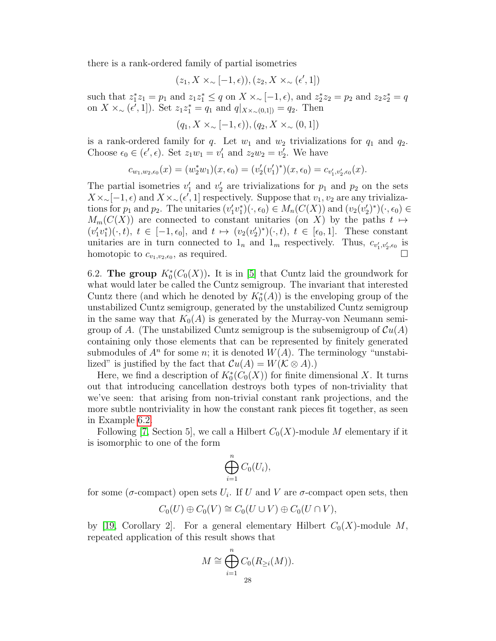there is a rank-ordered family of partial isometries

$$
(z_1, X\times_{\sim}[-1, \epsilon)), (z_2, X\times_{\sim}(\epsilon', 1])
$$

such that  $z_1^* z_1 = p_1$  and  $z_1 z_1^* \le q$  on  $X \times \_ [-1, \epsilon)$ , and  $z_2^* z_2 = p_2$  and  $z_2 z_2^* = q$ on  $X \times ∼ (ε', 1]$ ). Set  $z_1 z_1^* = q_1$  and  $q|_{X \times ∼ (0,1]} = q_2$ . Then

$$
(q_1, X \times_{\sim} [-1, \epsilon)), (q_2, X \times_{\sim} (0, 1])
$$

is a rank-ordered family for q. Let  $w_1$  and  $w_2$  trivializations for  $q_1$  and  $q_2$ . Choose  $\epsilon_0 \in (\epsilon', \epsilon)$ . Set  $z_1w_1 = v'_1$  and  $z_2w_2 = v'_2$ . We have

$$
c_{w_1,w_2,\epsilon_0}(x)=(w_2^*w_1)(x,\epsilon_0)=(v_2'(v_1')^*)(x,\epsilon_0)=c_{v_1',v_2',\epsilon_0}(x).
$$

The partial isometries  $v'_1$  and  $v'_2$  are trivializations for  $p_1$  and  $p_2$  on the sets  $X \times \sim [-1, \epsilon)$  and  $X \times \sim (\epsilon', 1]$  respectively. Suppose that  $v_1, v_2$  are any trivializations for  $p_1$  and  $p_2$ . The unitaries  $(v'_1v_1^*)(\cdot,\epsilon_0) \in M_n(C(X))$  and  $(v_2(v'_2)^*)(\cdot,\epsilon_0) \in$  $M_m(C(X))$  are connected to constant unitaries (on X) by the paths  $t \mapsto$  $(v'_1v_1^*)(\cdot,t), t \in [-1,\epsilon_0],$  and  $t \mapsto (v_2(v'_2)^*)(\cdot,t), t \in [\epsilon_0,1].$  These constant unitaries are in turn connected to  $1_n$  and  $1_m$  respectively. Thus,  $c_{v_1', v_2', \epsilon_0}$  is homotopic to  $c_{v_1,v_2,\epsilon_0}$ , as required.

<span id="page-27-0"></span>6.2. The group  $K_0^*(C_0(X))$ . It is in [\[5\]](#page-31-11) that Cuntz laid the groundwork for what would later be called the Cuntz semigroup. The invariant that interested Cuntz there (and which he denoted by  $K_0^*(A)$ ) is the enveloping group of the unstabilized Cuntz semigroup, generated by the unstabilized Cuntz semigroup in the same way that  $K_0(A)$  is generated by the Murray-von Neumann semigroup of A. (The unstabilized Cuntz semigroup is the subsemigroup of  $\mathcal{C}u(A)$ ) containing only those elements that can be represented by finitely generated submodules of  $A<sup>n</sup>$  for some n; it is denoted  $W(A)$ . The terminology "unstabilized" is justified by the fact that  $\mathcal{C}u(A) = W(\mathcal{K} \otimes A).$ 

Here, we find a description of  $K_0^*(C_0(X))$  for finite dimensional X. It turns out that introducing cancellation destroys both types of non-triviality that we've seen: that arising from non-trivial constant rank projections, and the more subtle nontriviality in how the constant rank pieces fit together, as seen in Example [6.2.](#page-26-0)

Following [\[7,](#page-31-4) Section 5], we call a Hilbert  $C_0(X)$ -module M elementary if it is isomorphic to one of the form

$$
\bigoplus_{i=1}^n C_0(U_i),
$$

for some ( $\sigma$ -compact) open sets  $U_i$ . If U and V are  $\sigma$ -compact open sets, then

$$
C_0(U) \oplus C_0(V) \cong C_0(U \cup V) \oplus C_0(U \cap V),
$$

by [\[19,](#page-32-8) Corollary 2]. For a general elementary Hilbert  $C_0(X)$ -module M, repeated application of this result shows that

$$
M \cong \bigoplus_{i=1}^{n} C_0(R_{\geq i}(M)).
$$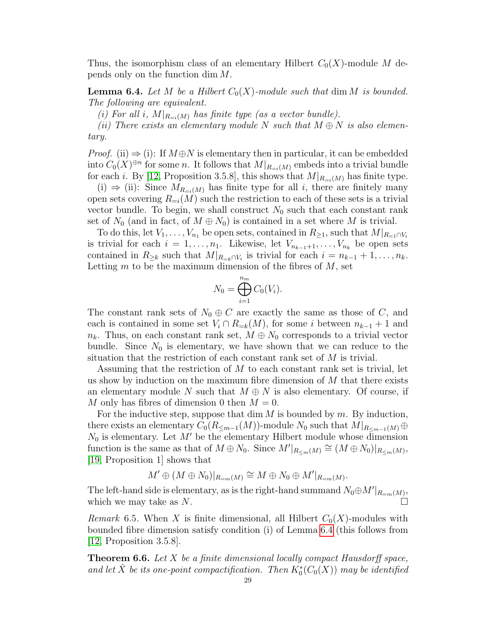Thus, the isomorphism class of an elementary Hilbert  $C_0(X)$ -module M depends only on the function dim M.

<span id="page-28-0"></span>**Lemma 6.4.** Let M be a Hilbert  $C_0(X)$ -module such that dim M is bounded. The following are equivalent.

(i) For all i,  $M|_{R=i(M)}$  has finite type (as a vector bundle).

(ii) There exists an elementary module N such that  $M \oplus N$  is also elementary.

*Proof.* (ii)  $\Rightarrow$  (i): If  $M \oplus N$  is elementary then in particular, it can be embedded into  $C_0(X)^{\oplus n}$  for some n. It follows that  $M|_{R=i(M)}$  embeds into a trivial bundle for each i. By [\[12,](#page-31-9) Proposition 3.5.8], this shows that  $M|_{R=i(M)}$  has finite type.

(i)  $\Rightarrow$  (ii): Since  $M_{R=i(M)}$  has finite type for all i, there are finitely many open sets covering  $R_{=i}(M)$  such the restriction to each of these sets is a trivial vector bundle. To begin, we shall construct  $N_0$  such that each constant rank set of  $N_0$  (and in fact, of  $M \oplus N_0$ ) is contained in a set where M is trivial.

To do this, let  $V_1, \ldots, V_{n_1}$  be open sets, contained in  $R_{\geq 1}$ , such that  $M|_{R_{=1} \cap V_i}$ is trivial for each  $i = 1, \ldots, n_1$ . Likewise, let  $V_{n_{k-1}+1}, \ldots, V_{n_k}$  be open sets contained in  $R_{\geq k}$  such that  $M|_{R_{=k} \cap V_i}$  is trivial for each  $i = n_{k-1} + 1, \ldots, n_k$ . Letting  $m$  to be the maximum dimension of the fibres of  $M$ , set

$$
N_0 = \bigoplus_{i=1}^{n_m} C_0(V_i).
$$

The constant rank sets of  $N_0 \oplus C$  are exactly the same as those of C, and each is contained in some set  $V_i \cap R_{=k}(M)$ , for some i between  $n_{k-1} + 1$  and  $n_k$ . Thus, on each constant rank set,  $M \oplus N_0$  corresponds to a trivial vector bundle. Since  $N_0$  is elementary, we have shown that we can reduce to the situation that the restriction of each constant rank set of M is trivial.

Assuming that the restriction of M to each constant rank set is trivial, let us show by induction on the maximum fibre dimension of  $M$  that there exists an elementary module N such that  $M \oplus N$  is also elementary. Of course, if M only has fibres of dimension 0 then  $M = 0$ .

For the inductive step, suppose that dim  $M$  is bounded by  $m$ . By induction, there exists an elementary  $C_0(R_{\leq m-1}(M))$ -module  $N_0$  such that  $M|_{R_{\leq m-1}(M)}\oplus$  $N_0$  is elementary. Let  $M'$  be the elementary Hilbert module whose dimension function is the same as that of  $M \oplus N_0$ . Since  $M'|_{R_{\leq m}(M)} \cong (M \oplus N_0)|_{R_{\leq m}(M)},$ [\[19,](#page-32-8) Proposition 1] shows that

$$
M' \oplus (M \oplus N_0)|_{R_{=m}(M)} \cong M \oplus N_0 \oplus M'|_{R_{=m}(M)}.
$$

The left-hand side is elementary, as is the right-hand summand  $N_0 \oplus M'|_{R_{\pm m}(M)}$ , which we may take as  $N$ .

*Remark* 6.5. When X is finite dimensional, all Hilbert  $C_0(X)$ -modules with bounded fibre dimension satisfy condition (i) of Lemma [6.4](#page-28-0) (this follows from  $[12,$  Proposition 3.5.8.

**Theorem 6.6.** Let X be a finite dimensional locally compact Hausdorff space, and let  $\hat{X}$  be its one-point compactification. Then  $K_0^*(C_0(X))$  may be identified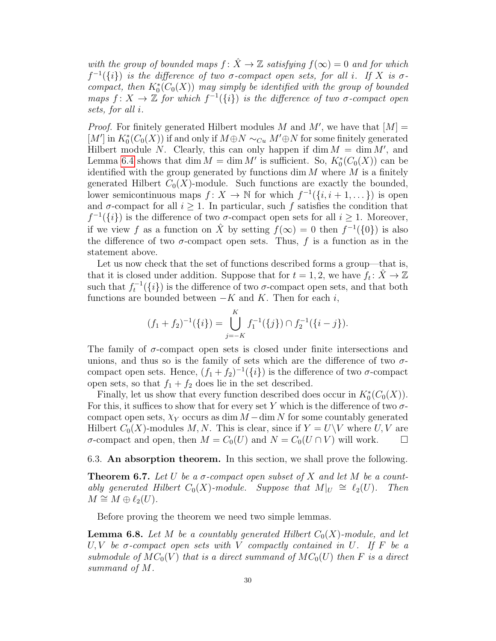with the group of bounded maps  $f: \hat{X} \to \mathbb{Z}$  satisfying  $f(\infty) = 0$  and for which  $f^{-1}(\{i\})$  is the difference of two  $\sigma$ -compact open sets, for all i. If X is  $\sigma$ compact, then  $K_0^*(C_0(X))$  may simply be identified with the group of bounded maps  $f: X \to \mathbb{Z}$  for which  $f^{-1}(\{i\})$  is the difference of two  $\sigma$ -compact open sets, for all i.

*Proof.* For finitely generated Hilbert modules M and  $M'$ , we have that  $[M] =$  $[M']$  in  $K_0^*(C_0(X))$  if and only if  $M \oplus N \sim_{Cu} M' \oplus N$  for some finitely generated Hilbert module N. Clearly, this can only happen if  $\dim M = \dim M'$ , and Lemma [6.4](#page-28-0) shows that dim  $M = \dim M'$  is sufficient. So,  $K_0^*(C_0(X))$  can be identified with the group generated by functions dim  $M$  where  $M$  is a finitely generated Hilbert  $C_0(X)$ -module. Such functions are exactly the bounded, lower semicontinuous maps  $f: X \to \mathbb{N}$  for which  $f^{-1}(\{i, i+1, \dots\})$  is open and  $\sigma$ -compact for all  $i > 1$ . In particular, such f satisfies the condition that  $f^{-1}(\{i\})$  is the difference of two  $\sigma$ -compact open sets for all  $i \geq 1$ . Moreover, if we view f as a function on  $\hat{X}$  by setting  $f(\infty) = 0$  then  $f^{-1}(\{0\})$  is also the difference of two  $\sigma$ -compact open sets. Thus, f is a function as in the statement above.

Let us now check that the set of functions described forms a group—that is, that it is closed under addition. Suppose that for  $t = 1, 2$ , we have  $f_t: \hat{X} \to \mathbb{Z}$ such that  $f_t^{-1}(\{i\})$  is the difference of two  $\sigma$ -compact open sets, and that both functions are bounded between  $-K$  and K. Then for each i,

$$
(f_1 + f_2)^{-1}(\{i\}) = \bigcup_{j=-K}^{K} f_1^{-1}(\{j\}) \cap f_2^{-1}(\{i-j\}).
$$

The family of  $\sigma$ -compact open sets is closed under finite intersections and unions, and thus so is the family of sets which are the difference of two  $\sigma$ compact open sets. Hence,  $(f_1 + f_2)^{-1}(\{i\})$  is the difference of two  $\sigma$ -compact open sets, so that  $f_1 + f_2$  does lie in the set described.

Finally, let us show that every function described does occur in  $K_0^*(C_0(X))$ . For this, it suffices to show that for every set Y which is the difference of two  $\sigma$ compact open sets,  $\chi_Y$  occurs as dim  $M$  – dim N for some countably generated Hilbert  $C_0(X)$ -modules M, N. This is clear, since if  $Y = U\setminus V$  where U, V are σ-compact and open, then  $M = C_0(U)$  and  $N = C_0(U \cap V)$  will work.  $\square$ 

#### <span id="page-29-0"></span>6.3. An absorption theorem. In this section, we shall prove the following.

<span id="page-29-1"></span>**Theorem 6.7.** Let U be a  $\sigma$ -compact open subset of X and let M be a countably generated Hilbert  $C_0(X)$ -module. Suppose that  $M|_U \cong \ell_2(U)$ . Then  $M \cong M \oplus \ell_2(U)$ .

Before proving the theorem we need two simple lemmas.

<span id="page-29-2"></span>**Lemma 6.8.** Let M be a countably generated Hilbert  $C_0(X)$ -module, and let U, V be  $\sigma$ -compact open sets with V compactly contained in U. If F be a submodule of  $MC_0(V)$  that is a direct summand of  $MC_0(V)$  then F is a direct summand of M.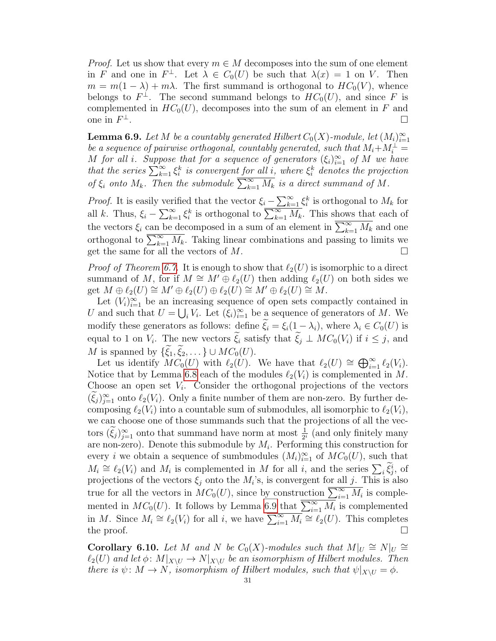*Proof.* Let us show that every  $m \in M$  decomposes into the sum of one element in F and one in  $F^{\perp}$ . Let  $\lambda \in C_0(U)$  be such that  $\lambda(x) = 1$  on V. Then  $m = m(1 - \lambda) + m\lambda$ . The first summand is orthogonal to  $HC_0(V)$ , whence belongs to  $F^{\perp}$ . The second summand belongs to  $HC_0(U)$ , and since F is complemented in  $HC_0(U)$ , decomposes into the sum of an element in F and one in  $F^{\perp}$ . <sup>⊥</sup>.

<span id="page-30-0"></span>**Lemma 6.9.** Let M be a countably generated Hilbert  $C_0(X)$ -module, let  $(M_i)_{i=1}^{\infty}$ be a sequence of pairwise orthogonal, countably generated, such that  $M_i + M_i^{\perp} =$ M for all i. Suppose that for a sequence of generators  $(\xi_i)_{i=1}^{\infty}$  of M we have that the series  $\sum_{k=1}^{\infty} \xi_i^k$  is convergent for all i, where  $\xi_i^k$  denotes the projection of  $\xi_i$  onto  $M_k$ . Then the submodule  $\overline{\sum_{k=1}^{\infty} M_k}$  is a direct summand of M.

*Proof.* It is easily verified that the vector  $\xi_i - \sum_{k=1}^{\infty} \xi_i^k$  is orthogonal to  $M_k$  for all k. Thus,  $\xi_i - \sum_{k=1}^{\infty} \xi_i^k$  is orthogonal to  $\overline{\sum_{k=1}^{\infty} M_k}$ . This shows that each of the vectors  $\xi_i$  can be decomposed in a sum of an element in  $\overline{\sum_{k=1}^{\infty} M_k}$  and one orthogonal to  $\overline{\sum_{k=1}^{\infty} M_k}$ . Taking linear combinations and passing to limits we get the same for all the vectors of  $M$ .

*Proof of Theorem [6.7.](#page-29-1)* It is enough to show that  $\ell_2(U)$  is isomorphic to a direct summand of M, for if  $M \cong M' \oplus \ell_2(U)$  then adding  $\ell_2(U)$  on both sides we get  $M \oplus \ell_2(U) \cong M' \oplus \ell_2(U) \oplus \ell_2(U) \cong M' \oplus \ell_2(U) \cong M$ .

Let  $(V_i)_{i=1}^{\infty}$  be an increasing sequence of open sets compactly contained in U and such that  $U = \bigcup_i V_i$ . Let  $(\xi_i)_{i=1}^{\infty}$  be a sequence of generators of M. We modify these generators as follows: define  $\tilde{\xi}_i = \xi_i(1 - \lambda_i)$ , where  $\lambda_i \in C_0(U)$  is equal to 1 on  $V_i$ . The new vectors  $\xi_i$  satisfy that  $\xi_j \perp MC_0(V_i)$  if  $i \leq j$ , and M is spanned by  $\{\xi_1, \xi_2, \dots\} \cup MC_0(U)$ .

Let us identify  $MC_0(U)$  with  $\ell_2(U)$ . We have that  $\ell_2(U) \cong \bigoplus_{i=1}^{\infty} \ell_2(V_i)$ . Notice that by Lemma [6.8](#page-29-2) each of the modules  $\ell_2(V_i)$  is complemented in M. Choose an open set  $V_i$ . Consider the orthogonal projections of the vectors  $(\xi_j)_{j=1}^{\infty}$  onto  $\ell_2(V_i)$ . Only a finite number of them are non-zero. By further decomposing  $\ell_2(V_i)$  into a countable sum of submodules, all isomorphic to  $\ell_2(V_i)$ , we can choose one of those summands such that the projections of all the vectors  $(\tilde{\xi}_j)_{j=1}^{\infty}$  onto that summand have norm at most  $\frac{1}{2^i}$  (and only finitely many are non-zero). Denote this submodule by  $M_i$ . Performing this construction for every *i* we obtain a sequence of sumbmodules  $(M_i)_{i=1}^{\infty}$  of  $MC_0(U)$ , such that  $M_i \cong \ell_2(V_i)$  and  $M_i$  is complemented in M for all i, and the series  $\sum_i \tilde{\xi}_j^i$ , of projections of the vectors  $\xi_j$  onto the  $M_i$ 's, is convergent for all j. This is also true for all the vectors in  $MC_0(U)$ , since by construction  $\overline{\sum_{i=1}^{\infty} M_i}$  is complemented in  $MC_0(U)$ . It follows by Lemma [6.9](#page-30-0) that  $\overline{\sum_{i=1}^{\infty} M_i}$  is complemented in M. Since  $M_i \cong \ell_2(V_i)$  for all i, we have  $\overline{\sum_{i=1}^{\infty} M_i} \cong \ell_2(U)$ . This completes the proof.  $\Box$ 

**Corollary 6.10.** Let M and N be  $C_0(X)$ -modules such that  $M|_U \cong N|_U \cong$  $\ell_2(U)$  and let  $\phi: M|_{X\setminus U} \to N|_{X\setminus U}$  be an isomorphism of Hilbert modules. Then there is  $\psi \colon M \to N$ , isomorphism of Hilbert modules, such that  $\psi|_{X\setminus U} = \phi$ .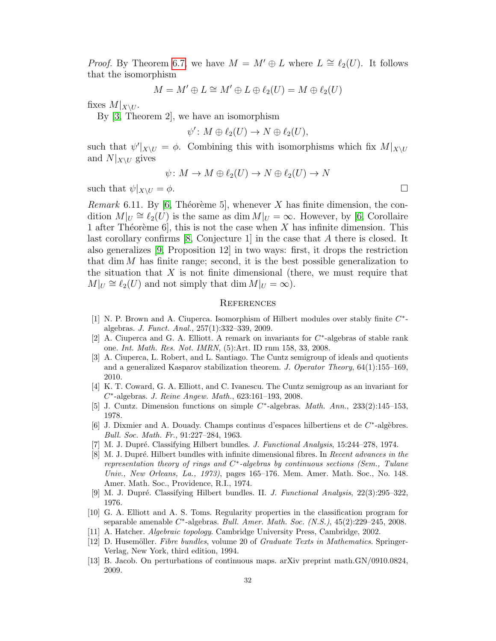*Proof.* By Theorem [6.7,](#page-29-1) we have  $M = M' \oplus L$  where  $L \cong \ell_2(U)$ . It follows that the isomorphism

$$
M = M' \oplus L \cong M' \oplus L \oplus \ell_2(U) = M \oplus \ell_2(U)
$$

fixes  $M|_{X\setminus U}$ .

By [\[3,](#page-31-12) Theorem 2], we have an isomorphism

$$
\psi'\colon M\oplus \ell_2(U)\to N\oplus \ell_2(U),
$$

such that  $\psi'|_{X\setminus U} = \phi$ . Combining this with isomorphisms which fix  $M|_{X\setminus U}$ and  $N|_{X\setminus U}$  gives

$$
\psi \colon M \to M \oplus \ell_2(U) \to N \oplus \ell_2(U) \to N
$$

such that  $\psi|_{X\setminus U} = \phi$ .

*Remark* 6.11. By [\[6,](#page-31-3) Théorème 5], whenever X has finite dimension, the condition  $M|_U \cong \ell_2(U)$  is the same as dim  $M|_U = \infty$ . However, by [\[6,](#page-31-3) Corollaire 1 after Théorème 6, this is not the case when X has infinite dimension. This last corollary confirms [\[8,](#page-31-5) Conjecture 1] in the case that A there is closed. It also generalizes [\[9,](#page-31-6) Proposition 12] in two ways: first, it drops the restriction that dim  $M$  has finite range; second, it is the best possible generalization to the situation that  $X$  is not finite dimensional (there, we must require that  $M|_U \cong \ell_2(U)$  and not simply that dim  $M|_U = \infty$ ).

#### **REFERENCES**

- <span id="page-31-10"></span>[1] N. P. Brown and A. Ciuperca. Isomorphism of Hilbert modules over stably finite  $C^*$ algebras. J. Funct. Anal., 257(1):332–339, 2009.
- <span id="page-31-1"></span>[2] A. Ciuperca and G. A. Elliott. A remark on invariants for  $C^*$ -algebras of stable rank one. Int. Math. Res. Not. IMRN, (5):Art. ID rnm 158, 33, 2008.
- <span id="page-31-12"></span>[3] A. Ciuperca, L. Robert, and L. Santiago. The Cuntz semigroup of ideals and quotients and a generalized Kasparov stabilization theorem. J. Operator Theory, 64(1):155–169, 2010.
- <span id="page-31-0"></span>[4] K. T. Coward, G. A. Elliott, and C. Ivanescu. The Cuntz semigroup as an invariant for C ∗ -algebras. J. Reine Angew. Math., 623:161–193, 2008.
- <span id="page-31-11"></span>[5] J. Cuntz. Dimension functions on simple  $C^*$ -algebras. *Math. Ann.*, 233(2):145–153, 1978.
- <span id="page-31-3"></span>[6] J. Dixmier and A. Douady. Champs continus d'espaces hilbertiens et de  $C^*$ -algèbres. Bull. Soc. Math. Fr., 91:227–284, 1963.
- <span id="page-31-4"></span>[7] M. J. Dupré. Classifying Hilbert bundles. J. Functional Analysis, 15:244–278, 1974.
- <span id="page-31-5"></span>[8] M. J. Dupré. Hilbert bundles with infinite dimensional fibres. In Recent advances in the representation theory of rings and  $C^*$ -algebras by continuous sections (Sem., Tulane Univ., New Orleans, La., 1973), pages 165–176. Mem. Amer. Math. Soc., No. 148. Amer. Math. Soc., Providence, R.I., 1974.
- <span id="page-31-6"></span>[9] M. J. Dupré. Classifying Hilbert bundles. II. J. Functional Analysis, 22(3):295–322, 1976.
- <span id="page-31-2"></span>[10] G. A. Elliott and A. S. Toms. Regularity properties in the classification program for separable amenable  $C^*$ -algebras. Bull. Amer. Math. Soc.  $(N.S.), 45(2):229-245, 2008.$
- <span id="page-31-8"></span>[11] A. Hatcher. Algebraic topology. Cambridge University Press, Cambridge, 2002.
- <span id="page-31-9"></span>[12] D. Husemöller. Fibre bundles, volume 20 of Graduate Texts in Mathematics. Springer-Verlag, New York, third edition, 1994.
- <span id="page-31-7"></span>[13] B. Jacob. On perturbations of continuous maps. arXiv preprint math.GN/0910.0824, 2009.